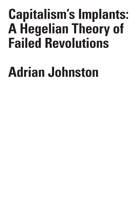# **Capitalism's Implants: A Hegelian Theory of Failed Revolutions**

# **Adrian Johnston**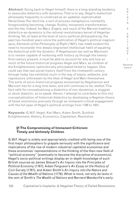**Abstract:** Going back to Hegel himself, there is a long-standing tendency to associate dialectics with dynamics. That is to say, Hegel's dialectical philosophy frequently is construed as an updated, sophisticated Heraclitean flux doctrine, a sort of process metaphysics constantly foregrounding becoming, change, fluidity, movement, transformation, and the like. Indeed, for Marx, Engels, and much of the Marxist tradition, dialectics-as-dynamics is the rational revolutionary kernel of Hegelian thinking. Yet, at least at the level of socio-political philosophizing, the past two-hundred years since the publication of Hegel's political *magnum opus*, *Elements of the Philosophy of Right* (1821), has made evident the need to reconsider this deeply-engrained intellectual habit of equating the dialectical with the dynamic. If Hegelianism (as well as Marxism) is to remain capable of reckoning with history up through the twentyfirst-century present, it must be able to account for why and how so much of the future historical progress Hegel and Marx, as children of the Enlightenment, optimistically anticipated failed to happen. One could say that real social history itself from the nineteenth century through today has exhibited much in the way of stasis, setbacks, and regressions unforeseen by the likes of Hegel and Marx themselves. The sorts of socio-historical progress envisioned by Hegelianism and Marxism has for a long time been, and still continues to be, stalled. This fact calls for conceptualizing a dialectics of non-dynamism, a sluggish or stuck dialectic, so to speak. Herein, I attempt to contribute to this (re) conceptualization of historical dialectics by developing a Hegelian theory of failed revolutions precisely through an immanent-critical engagement with the full span of Hegel's political writings from 1798 to 1831.

**Keywords:** G.W.F. Hegel, Karl Marx, Adam Smith, Scottish Enlightenment, History, Economics, Capitalism, Revolution

## **§1 The Compromising of Immanent Criticism: Timely and Untimely Children**

G.W.F. Hegel is widely and appropriately credited with being one of the first major philosophers to grapple seriously with the significance and implications of the rise of modern industrial capitalist economies and these economies' representations in the thinking of the then-new field of "political economy" (eventually to become the discipline of economics). Hegel's socio-political writings display an in-depth knowledge of such British sources as James Steuart's *An Inquiry into the Principles of Political Economy* (1767), Adam Ferguson's *An Essay on the History of Civil Society* (1767), and Adam Smith's *An Inquiry into the Nature and Causes of the Wealth of Nations* (1776). What is more, not only do texts in the vein of Smith's *The Wealth of Nations* and Bernard Mandeville's early-

T  $\mathbf{I}$ Q U E / Volume 8

C R I S I S & C R  $\mathbf{I}$ 

Issue 2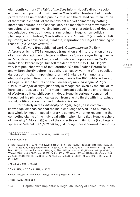eighteenth-century *The Fable of the Bees* inform Hegel's directly socioeconomic and political musings—the Mandevillian treatment of intended private vice as unintended public virtue<sup>1</sup> and the related Smithian notion of the "invisible hand" of the benevolent market animated by nothing more than bourgeois selfishness $^{\rm 2}$  serve as models for the movement of opposites of all sorts inverting into each other characteristic of Hegelian speculative dialectics in general (including in Hegel's non-political philosophy too).<sup>3</sup> Indeed, Mandeville's talk of "cunning"<sup>4</sup> (and related talk by Smith<sup>5</sup>) may have been a, if not the, inspiration for Hegel's "cunning of reason" (*die List der Vernunft*).6

Hegel's very first published work, *Commentary on the Bern Aristocracy*, is his 1798 anonymous translation and interpretation of a set of anti-aristocratic public letters written by a Swiss lawyer living in exile in Paris, Jean Jacques Cart, about injustice and oppression in Cart's native land (where Hegel himself resided from 1793 to 1796). Hegel's very last published work of 1831, entitled "On the English Reform Bill" and written shortly before his death, is an essay warning of the populist dangers of the then-impending reform of England's Parliamentary electoral system. Roughly in-between, there is the 1821 published version of Hegel's Berlin lectures on the *Elements of the Philosophy of Right*. 1821's *Philosophy of Right* justifiably is recognized, even by the bulk of its harshest critics, as one of the most important books in the entire history of Western political philosophy. Indeed, Hegel is seriously concerned throughout his philosophical career, from start to finish, with intertwined social, political, economic, and historical issues.

Particularly in the *Philosophy of Right*, Hegel, as is common knowledge, emphasizes that the main challenge served up to humanity as a whole by modern social history is somehow or other reconciling the competing claims of the individual with his/her rights (i.e., Hegel's sphere of "morality" [*Moralität*]) and of the collective with its rights (i.e., Hegel's sphere of "ethical life" [*Sittlichkeit*]7 ). Although foreshadowed in antiquity

4 Mandeville 1989, p. 68, 350

5 Smith 1986, p. 515 Smith 1999, pp.30, 32

6 Hegel 1979, pp. 247-249; Hegel 1991a, §189 p. 227; Hegel 1984a, p. 325

7 Hegel 1991a, §33 pp. 62-64

C R

<sup>1</sup> Mandeville 1989, pp. 53-55, 68, 76, 81, 88, 118-119, 130, 200)

<sup>2</sup> Smith 1999, p. 32

<sup>3</sup> Hegel 1979, pp. 154, 162, 167-168, 170, 242-244, 247-249; Hegel 1991a, §189 pg. 227-228; Hegel 1956, pp. 30-34; Lukács 1976, p. 352; Pelczynski 1971a, pp. 10, 12; Harris 1972, pp. 434-436; Harris 1983, pp. 126, 138; Bloch 1977, pp. 234-235; Pelczynski 1984, pg. 5; Plant 1983, pp. 229-231, 235;Walton 1984, pp. 246-247; Waszek 1988, pp. 8-9, 24-25, 149-150, 153; Smith 1989, p. 209; Wood 1990, pp. 228-230; MacGregor 1996, pp. 4, 48, 165, 290-291; Herzog 2013, pg. 25, 54; Skomvoulis 2015, p. 20-21; Mowad 2015, p. 79; Cesarale 2015, p. 98)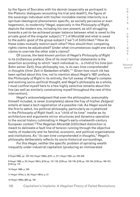by the figure of Socrates with his *daim*ō*n* (especially as portrayed in the Platonic dialogues recounting his trial and death<sup>s</sup>), the figure of the sovereign individual with his/her inviolable mental interiority is a spiritual-ideological phenomenon specific, as socially pervasive or even hegemonic, to modernity.<sup>9</sup> Hegel, especially in the *Philosophy of Right*, depicts the modern era, including his own present, as still struggling towards a yet-to-be-achieved proper balance between what is owed to the private good of the singular subject ("I") of *Moralität* and what is owed to the public good of the group subject ("we") of *Sittlichkeit*. 10 How do these sides mutually restrict each other? How should their competing rights claims be adjudicated? Under what circumstances ought one side's claims to override the other side's claims?

Of course, the best-known portion of Hegel's *Philosophy of Right* is its (in)famous preface. One of its most familiar statements is the assertion according to which "each individual is… a *child of his time* (*ein* Sohn seiner Zeit); thus philosophy, too, is *its own time comprehended in thoughts* (ihrer Zeit in Gedanken erfaßt)."11 Given how much ink has been spilled about this line, not to mention about Hegel's 1821 preface, the *Philosophy of Right* in its entirety, the full sweep of Hegel's complex and evolving socio-political thought, and Hegel's philosophy as a whole, I must confine myself here to a few highly selective remarks about this line (as well as similarly constraining myself throughout the rest of this intervention).

Hegel's acknowledgment that even the philosopher, presumably himself included, is never (completely) above the fray of his/her *Zeitgeist* entails at least a tacit registration of a possible risk. As Hegel would be the first to admit, his political philosophy, particularly as crystallized in the *Philosophy of Right* itself, is a "child of its time" insofar as its architecture and arguments mirror structures and dynamics operative in the social history culminating in Hegel's early-nineteenth-century European context.12 The Hegelian *Moralität*-*Sittlichkeit* distinction is meant to delineate a fault line of tension running through the objective reality of modernity and its familial, economic, and political organizations and institutions. As "*its own time comprehended in thoughts*," Hegel's philosophy deliberately reflects its socio-historical surroundings.

For this Hegel, neither the specific problem of spiraling wealth inequality under industrial capitalism (producing an immiserated

10 Hegel 1999, p. 230

11 Hegel 1970a, p. 26; Hegel 1991a, p. 21

12 Hegel 1995a, §86 pg. 158

C R I

<sup>8</sup> Hegel1999, pp. 153-154; Hegel 1995a, §167, p. 311; Hegel 1955, pp. 425-448

<sup>9</sup> Hegel 1999, p. 50; Hegel 1991a, §104 pp. 131-132, §106 pp. 135-136, §136 pp. 163-164, §138 pp. 166-167, §140 pg. 175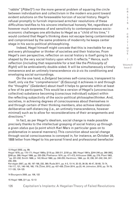"rabble" [*Pöbel*]13) nor the more general problem of squaring the circle between individualism and collectivism in the modern era point toward evident solutions on the foreseeable horizon of social history. Hegel's refusal promptly to furnish improvised armchair resolutions of these difficulties testifies to his sincere intellectual honesty. Yet, regardless of however much awareness of and sensitivity to contemporaneous socioeconomic challenges one attributes to Hegel as a "child of his time," I would contend that Hegel's thinking does not escape being contaminated and compromised by the same problems of modernity he keeps center stage in his socio-political philosophizing.

Indeed, Hegel himself might concede that this is inevitable for any and every philosopher or thinker of societies and their histories. From Hegel's own perspective, reflection on social history is itself going to be shaped by the very social history upon which it reflects.<sup>14</sup> Hence, such reflection (including that responsible for a text like the *Philosophy of Right*) will be ambivalently double-sided. It will be simultaneously a timely immanence and an untimely transcendence *vis-à-vis* its conditioning and enveloping social surroundings.

On the one hand, a *Zeitgeist* becomes self-conscious, transparent to itself, only via the "comprehension" (*Erfassung*) it achieves in and through the "thoughts" (*Gedanken*) about itself it helps to generate within at least a few of its participants. This would be a version of Hegel's (unconscious collective) substance becoming (conscious individual) subject within the reflecting subjectivity of the socio-political philosopher/thinker. And, societies, in achieving degrees of consciousness about themselves in and through certain of their thinking members, also achieve ideationaldeliberative self-distancing (i.e., an untimely transcendence, however minimal) such as to allow for reconsiderations of their arrangements and directions.<sup>15</sup>

In fact, as per Hegel's idealism, social change is made possible precisely thanks to the intellectual grasping of social history up through a given *status quo* (a point which Karl Marx in particular goes on to problematize in several manners). This conviction about social change through social consciousness is conveyed in, for instance, an October 28, 1808 letter from Hegel to his personal friend and professional benefactor

Kervégan 2007, pp. 68, 197-198, 232, 390; Ruda 2011, pp. 4-5, 13-14, 32-33, 36-39, 46-47, 58-68, 73-74, 116-117, 121, 146-148, 168, 179; Žižek, 2012, pp. 437-438; Žižek 2014, pp.23, 44; Johnston, 2018, pp. 78-79, 117-120, 124-125

14 Bourgeois 2000, pp. 106, 122

15 Hegel 1986, §11 pp. 12-13

C R I T I Q U E / Volume 8

C R I S I S &

Capitalism's Implants: A Hegelian Theory of Failed Revolutions

126

<sup>13</sup> Hegel 2002, pg. 99;

Hegel 1979, pp. 170-171; Hegel 1995a, §118 pp. 208-211, §150 pp. 280; Hegel 1991a, §244-246 pp. 266-268], §248 pp. 269; Hegel 1999, pp. 255-256; Plekhanov 1974, pp. 471-472; Althusser 2006, pg. 276; Plant 1983, "pp. 231-232; Smith 1989, p. 143; Wood 1990, pp. 248-255; Hardimon, 1994, pp. 32, 236, 241-242, 244, 247- 248, 258;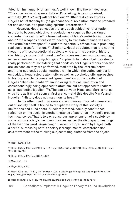Friedrich Immanuel Niethammer. A well-known line therein declares, "Once the realm of representation [*Vorstellung*] is revolutionized, actuality [*Wirklichkeit*] will not hold out."16 Other texts also express Hegel's belief that any truly significant social revolution must be prepared for and enabled by a preceding spiritual reformation.17

However, Hegel concedes that any such subjective reformation, in order to become objectively revolutionary, requires the backing of concrete physical force<sup>18</sup> (a foreshadowing of Marx's anti-idealist thesis about "the weapons of criticism" needing to translate themselves into "the criticism of weapons" in order to be actually efficacious in producing real social transformations<sup>19</sup>). Similarly, Hegel stipulates that it is not the thoughts of those exceptional subjects who alter the course of history (i.e., history's proverbial "great men") that makes them world-changing, as per an erroneous "psychological" approach to history, but their deeds really performed.<sup>20</sup> Considering that deeds as per Hegel's theory of action are, as soon as they are performed, mediated by the intersubjective and trans-subjective social matrices within which the acting subject is embedded, Hegel rejects atomistic as well as psychologistic approaches to history, even to its so-called "great men" (with the idealism of Hegel's "absolute idealism" emphasizing relational mediation and correspondingly being opposed to atomism, but not opposed to realism as is "subjective idealism"<sup>21</sup>). The gap between Hegel and Marx is not as wide here as it might seem at first glance—and this despite Marx's anti-Hegelian "History does not march on its head."<sup>22</sup>

On the other hand, this same consciousness of society generated out of society itself is bound to reduplicate many of this society's limitations and blind spots. Succinctly stated, socially conditioned reflection on the social is another instance of sublation in Hegel's precise technical sense. That is to say, conscious apprehension of a society by some of this society's members involves, as per the discrepant meanings of the German word "*Aufhebung*" invariably played upon by Hegel, both a partial surpassing of this society (through mental comprehension as a movement of the thinking subject taking distance from the object

16 Hegel 1984a, p. 179

17 Hegel 1975, p. 152; Hegel 1999, pp. 1-2; Hegel 1971a, §552 pp. 287-288; Hegel 2002, pp. 305-206; Hegel 1956, pp. 420, 453;

18 Hegel 1999, p. 101; Hegel 2002, p. 252

19 Marx1992, p. 25

20 Hegel 1964, p. 247

21 Hegel 1977a, pp. 115, 127, 165-167; Hegel 2002, p. 229; Hegel 1979, pp. 223-226; Hegel 1969a, p. 155; Hegel, 1991a, §95-96 pp. 152-153; Johnston 2018, pp. 51-52

22 Marx and Engels 1975, pp. 103, 118, 238-239; Marx and Engels 1998, pp. 33-36, 42-43

127 Capitalism's Implants: A Hegelian Theory of Failed Revolutions

R  $\mathbf{I}$ S I S & C R I T I Q U E / Volume 8 Issue 2

C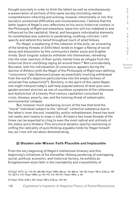thought precisely in order to think the latter) as well as simultaneously a preservation of portions of this same society (including mental comprehension inheriting and echoing, however intentionally or not, this society's unresolved difficulties and inconsistencies). I believe that the latter aspect of Hegel's own reflections on his socio-historical context, in the *Philosophy of Right* and elsewhere, leave him still too indebted to and influenced by the capitalist, liberal, and bourgeois individualist elements he nonetheless also submits to penetrating, scathing criticism. I will specify and defend this belief throughout much of what follows.

For Hegel, a weakening of the cohesion of the *polis*, an unraveling of the binding threads of *Sittlichkeit*, tends to trigger a fleeing of social decay and dissolution by this community's better souls and brighter minds. Such singular subjects withdraw into themselves, retreating into the inner sanctum of their purely mental lives as refuges from the historical *Sturm und Drang* raging all around them.23 Not coincidentally, Socrates, with his individualism of conscience, appears during the decline of Athens (with the Hegel of the *Philosophy of Right* even defining "conscience" [*das Gewissen*] proper as essentially involving withdrawal from the world's objective particularities into the empty fortress of universal free subjectivity<sup>24</sup>). Similarly, in the spirit of this same Hegel, one might interpret today's self-help popularizations of tend-your-owngarden ancient stoicism as one of countless symptoms of the rottenness and dysfunction of a twenty-first-century capitalism convulsed by crisis, disease, poverty, war, and the looming threat of catastrophic environmental collapse.

But, however much slackening occurs of the ties that bind the "moral" individual subject to the "ethical" collective substance due to the latter's inner discord, instability, and/or enfeeblement, these ties tend not neatly and cleanly to snap *in toto*. At least a few loose threads of the times can be expected to cling to even the most radical and untimely of the *status quo*'s thinkers. This structural dynamic (partly) restraining or stifling the radicality of pure thinking arguably holds for Hegel himself too, as I now will set about demonstrating.

#### **§2 Glauben oder Wissen**: **Faith Plausible and Implausible**

From the very beginning of Hegel's intellectual itinerary and this beginning's initiations of his thereafter lifelong pondering of overlapping social, political, economic, and historical factors, he exhibits an Enlightenment-style faith in the inevitability and irresistibility of

S I S & C R I T I Q U E / Volume 8 Issue 2

C R  $\mathbf{I}$ 

<sup>23</sup> Hegel 1977b, pp. 119-122, 266-289; Hegel 1995a, §64 pp. 123, §69 pp. 129-130; Hegel 1991a, §138 pp. 166- 167, §274 p. 313; Hegel 1995b, pp. 407-410, 412, 443-447; Hegel 1995c, p. 69

<sup>24</sup> Hegel 1970a, §136 p. 254; Hegel 1991a, §136 pp. 163-164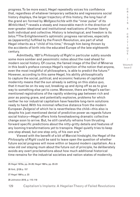progress. To be more exact, Hegel repeatedly voices his confidence that, regardless of whatever temporary setbacks and regressions social history displays, the larger trajectory of this history, the long haul of the grand arc formed by *Weltgeschichte* with the "inner pulse" of its Wirklichkeit,<sup>25</sup> reveals a steady and inexorable march in the direction of ever-greater ideational and institutional realizations of human liberty both individual and collective. History is teleological, and freedom is its *telos*. 26 The Enlightenment's optimistic progress narratives, especially as (apparently) fulfilled by the French Revolution, are part of what Hegel inherits as a "child of his time," through him being thrown by the accidents of birth into the educated Europe of the late-eighteenth century.

Admittedly, 1821's *Philosophy of Right* in particular subtly sounds some more somber and pessimistic notes about the road ahead for modern social history. Of course, the famed image of the Owl of Minerva in this book's preface conveys Hegel's rejection of the notion that anyone, even the most insightful of philosophers, is able to predict the future.<sup>27</sup> However, according to this same Hegel, his ability philosophically to capture the social, political, and economic features of capitalist modernity means that the sun already is setting on this *status quo*, that it must be on its way out, breaking up and dying off so as to give way to something else yet to come. Moreover, there are Hegel's earliermentioned registrations of the rapidly widening gap between rich and poor as posing grave, and potentially explosive, problems for which neither he nor industrial capitalism have feasible long-term solutions ready to hand. With his minimal reflective distance from the modern European *Zeitgeist* of which he is nevertheless the child—this also is despite his just-mentioned denial of predictive power as regards future social history—Hegel offers hints foreshadowing dramatic collective change soon to arrive. But, he still carefully refrains from thrusting forward specific predictions about the nitty-gritty details and features of any looming transformations yet to transpire. Hegel quietly tries to keep one step ahead, but one step only, of his own era.<sup>28</sup>

Viewed with the benefit of a bit of Marxist hindsight, the Hegel of the *Philosophy of Right* could be said to leave open the question of whether future social progress will move within or beyond modern capitalism. As a wise old owl staying mum about the future out of principle, he deliberately avoids any overt proclamations about how much additional historical time remains for the industrial societies and nation-states of modernity.

25 Hegel 1970a, pp. 24-28; Hegel 1991a, pp. 20-23

26 Ibid., §129 p. 157

27 Hegel 1991a, p. 23

28 Johnston 2018, p. 115-119

C R  $\mathbf{I}$ S I S & C R I T I Q U E / Volume 8 Issue 2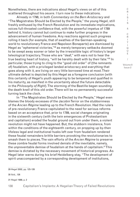Nonetheless, there are indications about Hegel's views on all of this scattered throughout his *oeuvre*. I turn now to these indications.

Already in 1798, in both *Commentary on the Bern Aristocracy* and "The Magistrates Should be Elected by the People," the young Hegel, still freshly enthused by the French Revolution and its immediate implications, voices full-throated confidence that, with the powerful impetus of 1789 behind it, history cannot but continue to make further progress in the advancement of human freedoms. Any reactions against such progress rolling it back (for example, that of swathes of the German-speaking world to revolutionary France and Napoleon Bonaparte) are dismissed by Hegel as "ephemeral victories,"29 as merely temporary setbacks doomed to be swept away sooner or later by the irresistible logic of history's larger teleological trajectory. Those who are "deaf," with ears not to hear the true beating heart of history, "will be harshly dealt with by their fate."30 In particular, those trying to cling to the "good old order" of (the remnants of) feudalism, with a privileged landed aristocracy and everything that goes along with it, are living on very little borrowed time at most. Their ultimate defeat is depicted by this Hegel as a foregone conclusion (with this certainty of Hegel's youth appearing to be tempered and qualified in his maturity, as manifest in the uncertainty about the future detectable in the *Philosophy of Right*). The storming of the Bastille began sounding the death knell of this old order. There will be no permanently successful turning back the clock.

In "The Magistrates Should be Elected by the People," Hegel even blames the bloody excesses of the Jacobin Terror on the stubbornness of the *Ancien Régime* leading up to the French Revolution. Had the rulers of pre-revolutionary France capitulated to the need for serious reforms based on an acceptance that, prior to 1789, social changes originating in the sixteenth century (with the twin emergences of Protestantism and capitalism) eroded the feudal ground out from under them, a violent revolution might not have happened. But, the stubborn insistence, from within the conditions of the eighteenth century, on propping up by-then lifeless legal and institutional husks left over from feudalism rendered these feudal remainders brittle barriers provoking the revolutionaries to smash them to pieces. The vain efforts of the *Ancien Régime* to preserve these zombie feudal forms involved denials of the inevitable, namely, the unpreventable demise of feudalism at the hands of capitalism.31 This demise is dictated by the necessary movement of historical progress. As Hegel later warns during his brief Heidelberg stay, "The development of spirit unaccompanied by a corresponding development of institutions,

29 Hegel 2002, pp. 125-126

30 Ibid., 126

31 Hegel 1999, p. 2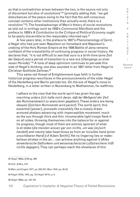so that a contradiction arises between the two, is the source not only of discontent but also of revolutions"32 (promptly adding that, "we get disturbances of the peace owing to the fact that the self-conscious concept contains other institutions than actually exist; there is a revolution"33). The foreshadowings of Marx's theory of social revolutions as laid out in writings such as 1848's *Communist Manifesto* and the preface to 1859's *A Contribution to the Critique of Political Economy* ought to be easily discernible to the reasonably informed eye.<sup>34</sup>

A few years later, in the preface to 1807's *Phenomenology of Spirit*, a Hegel who had just seen Napoleon on horseback and Napoleon's undoing of the Holy Roman Empire at the 1806 Battle of Jena remains confident of the irresistibility of continuing progress in social history. He declares that, "it is not difficult to see that ours is a birth-time (*eine Zeit der Geburt*) and a period of transition to a new era (*Übergangs zu einer neuen Periode*)."35 A tone of deep optimism continues to pervade this side of Hegel's thinking, one also sounded in an 1807 letter from Hegel to Christian Gotthold Zellman.36

This same red thread of Enlightenment-type faith in further historical progress resurfaces in the pronouncements of the older Hegel of the Heidelberg and Berlin periods too. On the eve of Hegel's move to Heidelberg, in a letter written in Nuremberg to Niethammer, he reaffirms:

I adhere to the view that the world spirit has given the age marching orders (*Ich halte mich daran, daß der Weltgeist der Zeit das Kommandowort zu avancieren gegeben*). These orders are being obeyed (*Solchem Kommando wird pariert*). The world spirit, this essential [power], proceeds irresistibly like a closely drawn armored phalanx advancing with imperceptible movement, much as the sun through thick and thin. Innumerable light troops flank it on all sides, throwing themselves into the balance for or against its progress, though most of them are entirely ignorant of what is at stake (*die meisten wissen gar von nichts, um was [es]sich handelt*) and merely take head blows as from an invisible hand (*einer unsichtbaren Hand*) [cf Adam Smith]. Yet no lingering lies or makebelieve strokes in the air… can achieve anything against it (*Alles verweilerische Geflunkere und weisemacherische Luftstreicherei hilft nichts dagegen*). They can perhaps reach the shoelaces of this

32 Hegel 1995a, §146 pg. 269

33 Ibid., §146 p. 270

34 Marx and Engels 1977, pp. 222-231; Marx 1970, pp. 20-22

35 Hegel 1970b, 1970, pg. 18; Hegel 1977b, p. 6

36 Hegel 1984a, pp. 122-123

I S I S & C R I T I Q U E / Volume 8 Issue 2

C R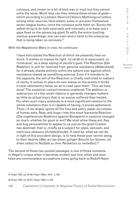colossus, and smear on a bit of boot wax or mud, but they cannot untie the laces. Much less can they remove these shoes of gods which according to [Johann Heinrich] Voss's *Mythological Letters*, among other sources, have elastic soles or are even themselves seven-league boots—once the colossus pulls them on. Surely the safest thing to do both externally and internally is to keep one's gaze fixed on the advancing giant. To edify the entire bustling zealous assemblage, one can even lend a hand to the enterprise that is being taken so seriously.37

With the Napoleonic Wars in view, he continues:

I have anticipated the Reaction of which we presently hear so much. It wishes to impose its right. '*La vérité en la repoussant, on l'embrasse*,' as a deep saying of Jacobi's goes. The Reaction (*Die Reaktion*) is still far removed from genuine resistance (*Widerstand*), for it already stands entirely within the sphere over against which resistance stands as something external. Even if it intends to do the opposite, the will of the Reaction is chiefly restricted to matters of vanity. It wishes to place its own stamp on the events it thinks it most vehemently hates, so as to read upon them: 'This we have done!' The essential content remains unaltered. The addition or subtraction of a few small ribbons or garlands changes matters as little as actual injury that is no sooner suffered than healed. For when such injury pretends to a more significant relation to the whole substance than it is capable of having, it proves ephemeral. Thus—if we largely ignore all the fuss and paltry paper successes of human ants, fleas, and bugs—has this most fearsome Reaction (*Die ungeheuerste Reaktion*) against Bonaparte in essence changed so much, whether for good or evil? We shall allow these ant, flea, and bug personalities to appear to us just as the good Creator has destined: that is, chiefly as a subject for jokes, sarcasm, and malicious pleasure (*Schadenfreude*). If need be, what we can do, in light of this provident design, is to help these poor vermin along to their destiny (*Was wir bei dieser gütigen Absicht tun können, ist, ihnen selbst im Notfalle zu ihrer Perfektion zu verhelfen*).38

The second of these two quoted passages is one of those moments in Hegel's corpus when it becomes evident just how unfair and even false are commonplace accusations (ones going back to Rudolf Haym

37 Hegel 1953, pp. 85-86; Hegel 1984a, 1816," p. 325

38 Hegel 1953, pp. 86-87; Hegel 1984a, p. 325

Issue 2

C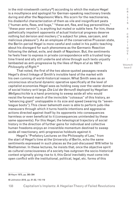in the mid-nineteenth century<sup>39</sup>) according to which the mature Hegel is a mouthpiece and apologist for German-speaking reactionary trends during and after the Napoleonic Wars. His scorn for the reactionaries, his disdainful characterization of them as vile and insignificant pests ("human ants, fleas, and bugs," "these ant, flea, and bug personalities," "these poor vermin"), is anything but muted or subtle here. For him, these pathetically impotent opponents of actual historical progress deserve nothing but derision and mockery ("a subject for jokes, sarcasm, and malicious pleasure"). As an employee of the conservative Prussian state, the Berlin-period Hegel is more careful and coded in his public teaching about his disregard for such phenomena as the Germanic Reaction following the defeat, exile, and death of Napoleon. But, the sentiments he feels freer to express in private correspondence with a trusted longtime friend and ally still underlie and shine through such texts unjustly lambasted as anti-progressive by the likes of Haym *et al* as 1821's *Philosophy of Right*. 40

That noted, the first of the two above-quoted passages reveals Hegel's direct linkage of Smith's invisible hand of the market with his own cunning of world-historical reason. What Smith sees as an unconscious structural dynamic operative specifically at the level of capitalist economies Hegel sees as holding sway over the vaster domain of social history writ large. *Die List der Vernunft* deployed by Hegelian *Weltgeschichte* is a hand promising to sweep aside all who would resist the forward march of the invincible "colossus" of this history, an "advancing giant" unstoppable in its size and speed (wearing its "sevenleague boots"). This clever behemoth even is able to perform judo-like maneuvers through which it turns hostile intentions and aggressive actions directed against itself by its opponents into consequences harmless or even beneficial to it (consequences unintended by these same opponents). For this Hegel, the teleological trajectory of social history in the direction of further gains for individual and collective human freedoms enjoys an irresistible momentum destined to sweep aside all reactionary, anti-progressive holdouts against it.

Hegel's "Prefatory Lectures on the Philosophy of Law," from the start of Hegel's time at the University of Berlin, echo the same sentiments expressed in such places as the just-discussed 1816 letter to Niethammer. In these lectures, he insists that, once the objective spirit as cultural consciousness of a society has outgrown the socio-historical context originally giving rise to it, this *Geist* inevitably must come into open conflict with the institutional, political, legal, etc. forms of this

39 Haym 1975, pp. 365-394

40 Johnston 2018, pp. 81-82, 116-119

R I T I Q U E / Volume 8

Issue 2

C R I S I S & C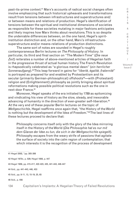past-its-prime context.41 Marx's accounts of radical social changes often involve emphasizing that such historical upheavals and transformations result from tensions between infrastructures and superstructures and/ or between means and relations of production. Hegel's identification of tensions between the spiritual and institutional dimensions of societies as responsible for these societies mutating in major fashions anticipates and likely inspires how Marx thinks about revolutions. This is so despite the undeniable differences between, on the one hand, Hegel's spiritinstitution distinction and, on the other hand, Marx's infrastructuresuperstructure and/or means-relations of production distinctions.

The same sort of notes are sounded in Hegel's roughly contemporaneous Berlin lectures on *The Philosophy of History*. In particular, its third and final section on "The Modern Time" (*Die neue Zeit*) reiterates a number of above-mentioned articles of Hegelian faith in the progressive thrust of actual human history. The French Revolution is rhapsodically celebrated as "a glorious mental dawn" (*ein herrlicher Sonnenaufgang*).42 This leap forward in gains for "*liberté, égalité, fraternité*" is portrayed as prepared for and enabled by Protestantism and its secular (primarily German-philosophical) offshoots<sup>43</sup>—with (Protestant) religion and (Enlightenment) philosophy as jointly bringing about spiritual reformations making possible political revolutions such as the one in next-door France.44

Moreover, Hegel speaks of the era initiated by 1789 as epitomizing and vindicating his view of history as the slow, steady, and inexorable advancing of humanity in the direction of ever-greater self-liberation.45 At the very end of these popular Berlin lectures on the topic of *Weltgeschichte*, Hegel reaffirms once again that, "the History of the World is nothing but the development of the Idea of Freedom."46 The last lines of these lectures proceed to declare that:

Philosophy concerns itself only with the glory of the Idea mirroring itself in the History of the World (*Die Philosophie hat es nur mit dem Glanze der Idee zu tun, die sich in der Weltgeschichte spiegelt*). Philosophy escapes from the weary strife of passions that agitate the surface of society into the calm region of contemplation; that which interests it is the recognition of the process of development

42 Hegel 1970c, p. 529; Hegel 1956, p. 447

43 Hegel 1956, pp. 415-417, 422-423, 435, 441-443, 446-447

44 Ibid., pp. 441-443, 446, 453

45 Ibid., pp. 9-11, 13, 15-19, 25, 65

46 Ibid., p. 456

I S I S & C R I T I Q U E / Volume 8 Issue 2

C R

<sup>41</sup> Hegel 2002, "pp. 305-306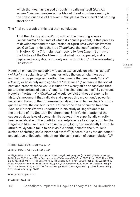which the Idea has passed through in realizing itself (*der sich verwirklichenden Idee*)—*i.e.* the Idea of Freedom, whose reality is the consciousness of Freedom (*Bewußtsein der Freiheit*) and nothing short of it.47

The final paragraph of this text then concludes:

That the History of the World, with all the changing scenes (*wechselnden Schauspiele*) which its annals present, is this process of development and the realization of Spirit (*das wirkliche Werden des Geistes*)—this is the true *Theodicæa*, the justification of God in History. Only *this* insight can reconcile (*versöhnen*) Spirit with the History of the World—viz., that what has happened, and is happening every day, is not only not 'without God,' but is essentially His Work.48

Hegelian philosophy selectively focuses exclusively on what is "actual" (*wirklich*) in social history.49 It pushes aside the superficial facade of anomalous happenings and outlier phenomena that are merely "there" (*Dasein*) or have only an insignificant "existence" (*Existenz*) in the social past and present; these would include "the weary strife of passions that agitate the surface of society" and "all the changing scenes." By contrast, Hegelian "actuality" (*Wirklichkeit*) would consist of those elements in history's movement that indicate and express this movement's powerful underlying thrust in the future-oriented direction of, to use Hegel's words quoted above, the conscious realization of the Idea of human freedom. And, as Norbert Waszek underlines in his study of Hegel's debts to the thinkers of the Scottish Enlightenment, Smith's delineation of the supposed deep laws of economic life beneath the superficially chaotic hustle-and-bustle of the quotidian marketplace is a key inspiration for the Hegel who likewise discerns an underlying logic, a scientifically knowable structural dynamic (akin to an invisible hand), beneath the turbulent surface of shifting socio-historical events<sup>50</sup> (discernible by the dialecticalspeculative philosopher inhabiting "the calm region of contemplation").<sup>51</sup>

47 Hegel 1970c, p. 540; Hegel 1956, p. 457

48 Hegel 1970c, p. 540; Hegel 1956, p. 457

49 Hegel 1984a, p. 114; Hegel 1970d, §6[pp. 47-49; Hegel 1991b, §9 p. 33, §6. p. 29-30; Hegel 1970a, pp. 24-28, §; pp. 29-30; Hegel 1991a, *Elements of the Philosophy of Right*, pp. 20-23, §1 pp. 25-26; Hegel 1956, pp. 17-19, 63-64, 446-447; Plekhanov 1974, p. 482; Lukács 1976, p. 461; Löwith 1991, p. 138; Weil 2002, p. 24-25; Bourgeois 1969, pg. 92-93;Wood 1990, pp. 10, 218; Hardimon 1994, pp. 26, 53; Jackson 1996, pp. 19-25; Neuhouser 2000, pp. 257-258; Beiser 2005, pp. 221-222; Kervégan 2007, pp. 17-32; Rosen 2014, p. 217; Johnston 2018, pp. 74-128

50 Hegel 1991a, §189 p. 227

51 Waszek 1988, p. 53

S I S & C R I T I  $\Omega$  $\cup$ E / Volume 8

C R I

Issue 2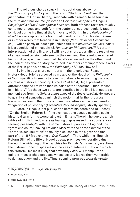The religious chords struck in the quotations above from the *Philosophy of History*, with the talk of "the true *Theodicæa*, the justification of God in History," resonate with a remark to be found in the third and final volume (devoted to *Geistesphilosophie*) of Hegel's *Encyclopedia of the Philosophical Sciences*. Both of these texts are roughly contemporaneous and both form the content of courses regularly taught by Hegel during his time at the University of Berlin. In the *Philosophy of Mind*, he avers apropos his historical theodicy that, "Such a doctrineor in other words that Reason is in history (Vernunft *in der Geschichte sei*)—will be partly at least a plausible faith (*ein plausibler Glaube*), partly it is a cognition of philosophy (*Erkenntnis der Philosophie*)."52 A certain interpretation of this line, one I will lay out shortly, permits the resolution of an apparent tension between, on the one hand, the teleology-centered historical perspective of much of Hegel's *oeuvre* and, on the other hand, the indications about history contained in another contemporaneous work of the Berlin period, namely, the *Philosophy of Right*. How so?

By implicit but sharp contrast with the teleological Reason-in-History Hegel briefly surveyed by me above, the Hegel of the *Philosophy of Right* specifically seems to take his distance from anything that could count as a historical theodicy. *Circa* 1821 at least, Hegel presents a different balance between the two parts of the "doctrine… that Reason is in history" (as these two parts are identified in the line I just quoted a moment ago from the *Geistesphilosophie* of the *Encyclopedia*). He appears to qualify and somewhat diminish the notion that further progress towards freedom in the future of human societies can be considered a "cognition of philosophy" (*Erkenntnis der Philosophie*) strictly speaking.

Later, in Hegel's last publication before his death, the 1831 essay "On the English Reform Bill," he even cautions about a possible sociohistorical turn for the worse, at least in Britain. Therein, he depicts a rich rabble of English landowners as having dispossessed the subsistencefarming peasantry<sup>53</sup> (with the same historical process in England, the "great enclosure," having provided Marx with the prime example of the "primitive accumulation" famously discussed in the eighth and final part of the 1867 first volume of *Das Kapital*54). Then, while the "English Reform Bill" of the title of Hegel's essay promises democratic gains through the widening of the franchise for British Parliamentary elections, the just-mentioned dispossession process creates a situation in which this "reform" makes it likely that a wealthy *Pöbel* will manipulate a gullible impoverished populace whose poverty leaves them vulnerable to demagoguery and the like. Thus, seeming progress towards greater

52 Hegel 1970d, §549 p. 352; Hegel 1971a, §549 p. 281

53 Hegel 1999, p. 247

54 Marx 1976, pp. 873-940

T I Q U E / Volume 8

Issue 2

C R I S I S & C R I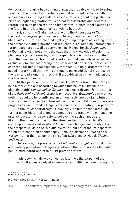democracy, through a bad cunning of reason, probably will lead to actual tyranny in the guise of mob rule by a mob itself ruled by the socially irresponsible rich. Hegel ends this essay predicting that this particular piece of English legislation will lead not to a desirable and peaceful reform, but to an undesirable and bloody revolution.55 Hegel's outlook on the future in this late instance is anything but rosy.

Yet, as per the (in)famous preface to the *Philosophy of Right*, the best that anyone, philosophers included, can attain is the Owl of Minerva's child-of-its-time hindsight regarding the past as leading up to the present. Anything beyond that (i.e., the future) remains unforeseeable for philosophers as well as everyone else. Hence, for the *Philosophy of Right* at least, it not only is the case that the knowledge of scientific philosophy (*als Wissenschaft*) with respect to social history is limited such that any posited historical teleologies hold true only in retrospect, exclusively for the past through the present and no further. It also is the case that, for this Hegel especially, there really is no guarantee within social history itself that it will continue to make additional progress on the road ahead along the lines that it arguably already has made on the road traversed thus far.

At this juncture, the other side of Hegel's "doctrine… that Reason is in history," the one according to which this belief (*Glauben*) is "a plausible faith" (*ein plausibler Glaube*), becomes relevant. For the author of the *Philosophy of Right*, properly philosophical *Erkenntnis* can promise nothing about the inherently and insurmountably unpredictable future. This includes whether the future will continue to exhibit more of the same progress as eventuated in Hegel's early-nineteenth-century European era.

In the *Philosophy of Right*, Hegel slyly insinuates that, although further socio-historical changes cannot be predicted by the philosopher or anyone else, it is reasonable to believe that such changes are likely in the times to come.<sup>56</sup> In the already-cited words of Hegel's contemporaneous *Philosophy of Mind*, these changes are the object of the prospective vision of "a plausible faith," but not of the retrospective vision of "a cognition of philosophy." This is a matter of *Glauben oder Wissen*, rather than, as per the title of an 1802 piece by Hegel, *Glauben und Wissen*.

Once again, the preface to the *Philosophy of Right* is crucial for an adequate appreciation of Hegel's position in this vein. As the oft-quoted penultimate paragraph of this 1821 preface states:

…philosophy… always comes too late… As the *thought* of the world, it appears only at a time when actuality has gone through its

56 Johnston 2018, pp. 71, 78-79, 81-82, 111, 115-128

C

<sup>55</sup> Hegel 1999, pp. 269-270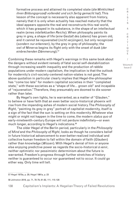formative process and attained its completed state (*die Wirklichkeit ihren Bildungsprozeß vollendet und sich fertig gemacht hat*). This lesson of the concept is necessarily also apparent from history, namely that it is only when actuality has reached maturity that the ideal appears opposite the real and reconstructs this real world, which it has grasped in its substance, in the shape of an intellectual realm (*eines intellektuellen Reichs*). When philosophy paints its grey in grey, a shape of life (*eine Gestalt des Lebens*) has grown old, and it cannot be rejuvenated (*nicht verjüngen*), but only recognized (*sondern nur erkennen*), by the grey in grey of philosophy; the owl of Minerva begins its flight only with the onset of dusk (*der einbrechenden Dämmerung*).57

Combining these remarks with Hegel's warnings in this same book about the dangers without evident remedy of fatal social self-destabilization through increasing wealth inequality and the production of rabble populations under modern capitalism, the implication is that the outlook for modernity's civil-society-centered nation-states is not good. The above quotation in particular clearly implies that Hegel-the-philosopher has "come too late" for modern capitalist societies in their "completed state," with these societies as a "shape of life… grown old" and incapable of "rejuvenation." Therefore, they presumably are doomed to die sooner rather than later.

By Hegel's own lights, he is warranted, as a matter of "*Glauben*," to believe or have faith that an even better socio-historical phoenix will rise from the impending ashes of modern social history. The *Philosophy of Right*, "painting its grey in grey" portrait of capitalist modernity, itself is a sign of the fact that the sun is setting on this modernity. Whatever else might or might not happen in the time to come, the modern *status quo* of early-nineteenth-century Europe will not perdure indefinitely—or even much longer, according to Hegel's indications.<sup>58</sup>

The older Hegel of the Berlin period, particularly in the *Philosophy of Mind* and the *Philosophy of Right*, looks as though he considers belief in future historical advancement to ever-better-realized individual and collective human freedom to fall within the domain of faith (*Glauben*) rather than knowledge (*Wissen*). With Hegel's denial of him or anyone else enjoying predictive power as regards the socio-historical *à venir*, neither optimistic nor pessimistic determinism about the future is warranted. Freedom's progress through further stretches of history neither is guaranteed to occur nor guaranteed not to occur. It could go either way. Only time will tell.

58 Johnston 2018, pp. 71, 78-79, 81-82, 111, 115-128

C R I T I Q U E / Volume 8

Issue 2

C R I S I S &

<sup>57</sup> Hegel 1970a, p. 28; Hegel 1991a, p. 23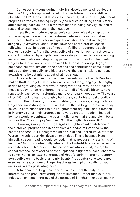But, especially considering historical developments since Hegel's death in 1831, is his apparent belief in further future progress still "a plausible faith?" Does it still possess plausibility? Are the Enlightenment progress narratives shaping Hegel's (and Marx's) thinking about history still basically believable? I am far from alone in being heavily inclined to respond to such questions in the negative.

In particular, modern capitalism's stubborn refusal to implode or wither away in the roughly two centuries between the early nineteenth century and today raises serious questions about the mature Hegel's allegedly "*plausibler Glaube*" in the dawn of a new historical epoch following the twilight demise of modernity's liberal-bourgeois socioeconomic systems. From the perspective of an early-twenty-first-century context dominated by a capitalism overseeing exponentially accelerating material inequality and staggering penury for the majority of humanity, Hegel's faith now looks to be implausible. Even if, following Hegel, a philosophical fatalism about the decades and centuries to come is ruled out as epistemologically invalid, there nevertheless is little to no reason nowadays to be optimistic about what lies ahead.

The electrifying inspiration of such events as the French Revolution that so thrilled Hegel himself obviously ran out long, long ago. A lengthy series of right-wing counterrevolutionary victories, with the earliest of these already transpiring during the latter half of Hegel's lifetime, have repeatedly dashed both reformist and revolutionary hopes alike. The years since 1831 look to have thoroughly buried any socio-historical theodicy, and with it the optimism, however qualified, it expresses, along the lines Hegel envisions during his lifetime. I doubt that, if Hegel were alive today, he would continue to stick to his Enlightenment-style talk about Reasonin-History as unerringly progressing towards greater freedom. Instead, he likely would accentuate the pessimistic tones that are audible in texts such as the *Philosophy of Right* and "On the English Reform Bill."

However, simply criticizing Hegel's Enlightenment confidence in the historical progress of humanity from a standpoint informed by the benefits of post-1831 hindsight would be a dull and unproductive exercise. Worse, it would be to kick down an open door. This is because Hegel himself, as seen, readily would concede that he necessarily is a "child of his time." As thus contextually situated, his Owl-of-Minerva retrospective reconstruction of history up to his present inevitably must, in ways he cannot foresee, be reworked or even replaced in light of subsequent times to come. Hence, an external critique of Hegel's early-nineteenth-century perspective on the basis of an early-twenty-first-century one would not even really be a critique of Hegel, insofar as he implicitly calls for such revisions in eras postdating his own.

A fundamental Hegelian conviction has it that the only truly interesting and productive critiques are immanent rather than external. Indeed, an immanent critique of the strands of Enlightenment optimism in

S & C R I T I Q U E / Volume 8

C R I S I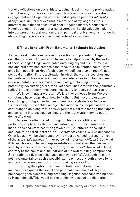Hegel's reflections on social history, using Hegel himself to problematize this optimism, promises at a minimum to make for a more interesting engagement with Hegelian political philosophy as per the *Philosophy of Right* and similar works. What is more, one of my wagers in this intervention is that an account of post-Hegelian history's defiance of Hegel's sanguinity about historical progress will yield valuable insights into our present social, economic, and political predicament. I shift now to elaborating precisely such an immanent-critical account.

# **§3 There is no exit: From External to Extimate Mediation**

As I will seek to demonstrate in this section, components of Hegel's own theory of social change can be made to help explain why the sorts of social changes Hegel anticipates unfolding beyond his lifetime did not, and still have not, come to pass. And, this explanation hopefully will shed light not only on Hegel's philosophy itself, but also on today's geopolitical situation. This is a situation in which the world's societies and humanity as a whole are facing multiple acute crises (a global pandemic, environmental disasters, massive inequality, ballooning poverty, potentially devastating wars, etc.), yet seem unable to take the (admittedly radical or revolutionary) measures necessary to resolve these crises.

We know things are broken. We know what needs fixing. We even sometimes have ideas about how to fix them. But, nevertheless, we keep doing nothing either to mend damage already done or to prevent further easily foreseeable damage. This inaction, as people passively continuing to go along with a *status quo* that clearly is tearing itself apart and spiraling into destructive chaos, is the real mystery crying out for demystification.

As seen earlier, Hegel, throughout his socio-political writings in particular, emphasizes that, when a *Sittlichkeit* with its characteristic institutions and practices "has grown old" (i.e., entered its twilight decline), this shared "form of life" (*Gestalt des Lebens*) will be abandoned. Or, at least, it will be abandoned by the most advanced representatives of the actual (*als wirklich*) "inner pulse" of historical *Weltgeist*. But, what if those who would be such representatives do not show themselves as such by sooner or later fleeing a rotting social order? How would Hegel, contrary to the habits and inclinations of his own thinking, comprehend Spirit failing to fly from a diseased and dying *polis*? Although he might not have entertained such a possibility, his philosophy both allows for it and provides some precious tools for making sense of it.

Exploring the option of a theory of failed revolutions via an immanent critique of the social and political dimensions of Hegel's philosophy goes against a long-standing Hegelian penchant tracing back to Hegel himself. This would be the tendency to associate dialectics

I T I Q U E / Volume 8

C R I S I S & C R

Issue 2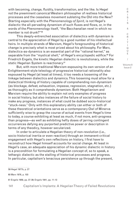with becoming, change, fluidity, transformation, and the like. Is Hegel not the preeminent canonical Western philosopher of restless historical processes and the ceaseless movement sublating the Old into the New? Starting especially with the *Phenomenology of Spirit*, is not Hegel's dialectic the all-pervading dynamism of such fluxes and flows, or, in the words of the *Phenomenology* itself, "the Bacchanalian revel in which no member is not drunk?"59

This deeply-entrenched association of dialectics with dynamism is central to the appreciation of Hegel by a good number of his intellectual heirs. In multiple strands of Marxism, Hegel's foregrounding of historical change is precisely what is most prized about his philosophy. For Marx, dialectics-as-dynamics is an essential part of the "rational kernel," as separable from the "mystical shell," of Hegel's encyclopedic edifice.<sup>60</sup> For Friedrich Engels, the kinetic Hegelian dialectic is revolutionary, while the static Hegelian System is reactionary.<sup>61</sup>

But, with more traditional Marxism espousing its own version of an Enlightenment-style teleology of progressive historical rationality also espoused by Hegel (at least at times), it too needs a loosening of the linkage between dialectics and dynamics. This loosening must allow for a dialectical thinking of history capable of comprehending non-dynamism (as blockage, defeat, exhaustion, impasse, regression, stagnation, etc.) as thoroughly as it comprehends dynamism. Both Hegelianism and Marxism require the ability to explain not only examples of progress in social history, but also instances of the failure of social history to make any progress, instances of what could be dubbed socio-historical "stuck-ness." Only with this explanatory ability can either or both of these theoretical orientations serve as a contemporary Owl of Minerva sufficiently wise to grasp the course of actual events from Hegel's time to today, a course exhibiting at least as much, if not more, anti-progress than progress—as well as exhibiting hefty doses of jarring contingent occurrences defying any purported predictive power or description in terms of any theodicy, however secularized.

In order to articulate a Hegelian theory of non-revolution (i.e., socio-historical inertia or even reaction) through an immanent-critical engagement with Hegel's own reflections on history, I first have to reconstruct how Hegel himself accounts for social change. At least in Hegel's case, an adequate appreciation of his dynamic dialectic in history is a precondition for formulating a Hegelian concept of, so to speak, a lethargic dialectic as the stalling of historical processes and progress. In particular, capitalism's tenacious persistence up through the present,

59 Hegel 1977b, p. 27

60 Marx 1976, p. 103

61 Engels 1959, pp. 37-39; Engels 1941, pp. 11-13

Issue 2

C R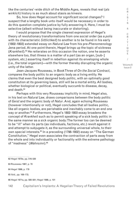like the centuries'-wide ditch of the Middle Ages, reveals that real (*als wirklich*) history is as much about stasis as kinesis.

So, how does Hegel account for significant social changes? I suspect that a lengthy book unto itself would be necessary in order to do this question complete justice by fully answering it. Here, I must be selective (albeit without being inaccurate or distorting).

I would propose that the single clearest expression of Hegel's theory of revolutionary transformations from one social order (as a *polis* with its characteristic *Sittlichkeit*) to another is to be found in his early (1802-1803) extended essay on *Natural Law* from his pre-*Phenomenology* Jena period. At one point therein, Hegel brings up the topic of sickness (*Krankheit*).62 He reiterates on this occasion the notion, one he asserts elsewhere too, that illness is a matter of a part (as an organ, [sub-] system, etc.) asserting itself in rebellion against its enveloping whole (i.e., the total organism)—with the former thereby disrupting the organic unity of the latter.

Jean-Jacques Rousseau, in Book Three of *On the Social Contract*, compares the body politic to an organic body as a living entity. He claims that even the best designed body politic, with an optimally good constitution at its governing basis, still will be a mortal entity. All bodies, whether biological or political, eventually succumb to disease, decay, and death.<sup>63</sup>

Perhaps with this very Rousseau implicitly in mind, Hegel also, in his text on *Natural Law*, draws comparisons between the body politic of *Geist* and the organic body of *Natur*. And, again echoing Rousseau (however intentionally or not), Hegel concludes that all bodies politic, like all organic bodies, are perishable and inevitably come to an end one way or another.<sup>64</sup> Furthermore, Hegel's 1802-1803 essay broadens the concept of *Krankheit* such as to permit speaking of a sick body politic in the same manner as a sick organic body: The former too can be deemed to be "ill" when its parts (as individuals, factions, etc.) revolt against it and attempt to subjugate it, as the surrounding universal whole, to their own special interests.<sup>65</sup> In a preceding (1798-1802) essay on "The German Constitution," Hegel even associates the contraction of parts away from the whole and into individuality or factionality with the extreme pathology of "madness" (*Wahnsinn*).66

62 Hegel 1970e, pp. 516-520

63 Rousseau 1987, p. 70

64 Hegel 1999, p. 179

65 Ibid., pp. 169-172;

66 Hegel 1971a, pp. 580-581; Hegel 1999, p. 101

C R I S I S & C R I T I Q U E / Volume 8 Issue 2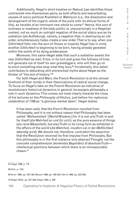Additionally, Hegel's short treatise on *Natural Law* identifies those contracted-into-themselves parts, as both effects and exacerbating causes of socio-political *Krankheit* or *Wahnsinn* (i.e., the dissolution and derangement of the organic whole of the *polis* with its ethical forms of life), as heralds of an imminent new whole to come.<sup>67</sup> Hence, this sort of sickness or madness of the body politic is, unsurprisingly in a Hegelian context, not so much an outright negation of the social *status quo* as its sublation (*als Aufhebung*), namely, a negation that, in destroying an old order, simultaneously helps create a new order. That is to say, when one *Sittlichkeit* falls into the sort of illness or insanity Hegel has in mind, another *Sittlichkeit* is beginning to be born, having already gestated within the womb of its dying predecessor.

Moreover, this same Hegel adds that such a sublation awaits the new *Sittlichkeit* as well. It too, in its turn and given the fullness of time, will generate out of itself its own gravediggers, who will then go on to erect something else atop what they bury.<sup>68</sup> Incidentally, this detail contributes to debunking still-entrenched myths about Hegel as the thinker of "the end of history."69

For both Hegel and Marx, the French Revolution is at the utmost forefront of their minds in their theorizations of radical social change. To focus on Hegel's take on the French Revolution as indicative of revolutionary historical dynamics in general, he assigns philosophy a role in such dynamics. This comes out most clearly towards the close of his lectures on the *Philosophy of History*, just before his rapturous celebration of 1789 as "a glorious mental dawn." Hegel states:

It has been said, that the *French Revolution* resulted from Philosophy, and it is not without reason that Philosophy has been called 'Weltweisheit' [World Wisdom;] for it is not only Truth in and for itself (*die Wahrheit an und für sich*), as the pure essence of things (*als reine Wesenheit*), but also Truth in its living form as exhibited in the affairs of the world (*die Wahrheit, insofern sie in der Weltlichkeit lebendig wird*). We should not, therefore, contradict the assertion that the Revolution received its first impulse from Philosophy. But this philosophy is in the first instance only abstract Thought, not the concrete comprehension (*konkretes Begreifen*) of absolute Truth intellectual positions between which there is an immeasurable chasm.70

67 Hegel 1999, p. 178

68 Ibid., p. 179)

69 Grier 1996, pp. 183-198; Maurer 1996, pp. 199-222; Harris 1996, pp. 223-236;

70 Hegel 1970c, pp. 527-528; Hegel 1956, p. 446

C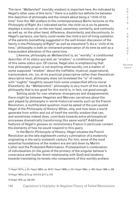The term "*Weltwisheit*" (worldly wisdom) is important here. As indicated by Hegel's other uses of this term,<sup>71</sup> there is a subtle but definite tie between this depiction of philosophy and the remark about being a "child of its time" from the 1821 preface to the contemporaneous Berlin lectures on the *Philosophy of Right*. As I indicated earlier, the child *vis-à-vis* its parents displays a mixture of, on the one hand, sameness, similarity, and continuity as well as, on the other hand, difference, dissimilarity, and discontinuity. In Hegel's parlance, one fairly could render the child a sort of living sublation of the parents (something suggested in the well-known discussion of the family in the *Philosophy of Right*<sup>72</sup> as well as elsewhere<sup>73</sup>). As a "child of its time," philosophy is both an immanent preservation of its time as well as a transcendent alteration of this same time.

Likewise, philosophy as *Weltweisheit* is, as "worldly," a conditioned describer of its *status quo* and, as "wisdom," a conditioning changer of this same *status quo*. Of course, Hegel also is emphasizing that true philosophy proper is not anything otherworldly, not a matter of some supposed "wisdom" about the ineffable, mystical, supernatural, transcendent, etc. (or, at its practical-prescriptive rather than theoreticaldescriptive level, philosophy does not browbeat the "is" of reality with "oughts" haughtily issued from some unspecified ethico-moral Elsewhere). As "*Weltweisheit*," philosophy is very much of this world. A philosophy that is too good for this world is, in fact, not good enough.

Setting aside for now whatever divergences and disagreements there might be between Hegelian and Marxian narratives about the part played by philosophy in world-historical events such as the French Revolution, a multifaceted question must be asked of the just-quoted Hegel of the *Philosophy of History*: When, why, and how does a world generate from within and out of itself the worldly wisdom that can, and sometimes indeed does, contribute towards extra-philosophical processes dramatically transforming this same world? Additional features of Hegel's glosses on revolutionary France in particular contain the elements of how he would respond to this query.

In the Berlin *Philosophy of History*, Hegel situates the French Revolution as the late-eighteenth-century culmination of a modernity originating in the early-sixteenth century. For him, some of the most essential foundations of the modern era are laid down by Martin Luther and the Protestant Reformation. Protestantism's combination of individualism (in the guise of the primacy of the singular believer's conscience and his/her direct relationship with God) and tendency towards translating its tenets into components of this-worldly profane

71 Hegel 1971b, p. 81; Hegel 1995b, pp. 60-61; Hegel 1969b, p. 241; Hegel 1984c, p. 456; Hegel 1999, p. 228

72 Hegel 1991a, §175 pp. 212-213, §177 p. 214

73 Hegel 1979, pp. 232-234

C R  $\mathbf{I}$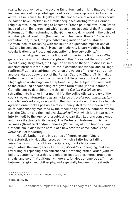reality helps give rise to the secular Enlightenment thinking that eventually inspires some of the pivotal agents of revolutionary upheaval in America as well as in France. In Hegel's view, the modern era of world history could be said to have unfolded in a circular sequence starting with a German religious revolution, evolving to become a French political revolution (itself inspired by an Enlightenment which secularizes aspects of the Protestant Reformation), then returning to the German-speaking world in the guise of a philosophical revolution (beginning with Immanuel Kant's "Copernican revolution" as, in part, the groundbreaking initiation of a sustained German idealist reckoning with the multiple significant implications of 1789 and its consequences). Hegelian modernity is partly defined by its secularization of a Protestant conception of free subjectivity.<sup>74</sup>

But, what gives rise to the figure of Luther in the first place? What generates the world-historical rupture of the Protestant Reformation? To cut a long story short, the Hegelian answer to these questions is, in a succinct phrase: institutional rot. As is common knowledge, and as Hegel reaffirms,<sup>75</sup> Luther's spiritual revolution grows out of the rank corruption and scandalous degeneracy of the Roman Catholic Church. This makes Luther one of the figures of a fundamental Hegelian structural dynamic I highlighted a while ago: an exceptional singular subject who responds to the crumbling or collapsing of a given form of life (in this instance, Catholicism) by detaching from this ailing *Gestalt des Lebens* and retreating into his/her inner mental life, the solipsistic sanctuary of the soul (a retreat interpretable as an instance of *reculer pour mieux sauter*). Catholicism's rot and, along with it, the disintegration of the entire feudalagrarian order makes possible a revolutionary shift to the modern era, a shift indispensably mediated by the rebellion against a substantial whole (i.e., the Church and the medieval *Sittlichkeit* with which it is inextricably intertwined) by the agency of a subjective part (i.e., Luther's conscience and those it attracts to its cause). The Protestant Reformation is the sickness (*Krankheit*) and/or madness (*Wahnsinn*) of both feudalism and Catholicism. It also is the herald of a new order to come, namely, the *Sittlichkeit* of modernity.

Hegel's Luther is one in a series of figures exemplifying a characteristically Hegelian process in which a faltering or failing *Sittlichkeit* (as form[s] of life) precipitates, thanks to its inner negativities, the emergence of a (novel) *Moralität* challenging, and even reworking or replacing, this entrenched but waning ethical order (with its beliefs, customs, hierarchies, ideologies, institutions, mores, practices, rituals, and so on). Additionally, there are, for Hegel, numerous affinities between religion and philosophy, and especially between Protestantism

74 Hegel 1956, pp. 415-417, 422-423, 435, 441-443, 449, 453

S & C R I T I Q U E / Volume 8

Issue 2

C R I S I

<sup>75</sup> Ibid., pp. 412-413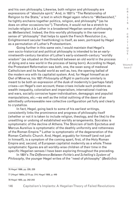and his own philosophy. Likewise, both religion and philosophy are expressions of "absolute spirit." And, in 1831's "The Relationship of Religion to the State," a text in which Hegel again refers to "*Weltweisheit*," he tightly enchains together politics, religion, and philosophy<sup>76</sup> (as he does on other occasions too<sup>77</sup>). Therefore, it would not be a stretch to include religion *à la* Luther in a broadened Hegelian sense of philosophy as *Weltweisheit*. Indeed, the this-worldly philosophy in the narrower sense of "philosophy" that helps to spark the French Revolution (i.e., Enlightenment secular freethinking) is itself, as seen, portrayed by Hegel as a permutation of Luther's Protestantism.

Going further in this same vein, I would maintain that Hegel's own socio-historical and political philosophy is intended to be an earlynineteenth-century iteration of Luther's early-sixteenth-century "worldly wisdom" (as situated on the threshold between an old world in the process of dying and a new world in the process of being born). According to Hegel, the Protestant Reformation was both, one, the swan song of medieval Catholicism and its feudal world as well as, two, the opening ballad of the modern era with its capitalist system. And, for Hegel himself as an Owl of Minerva, his 1821 *Philosophy of Right* in particular similarly is meant to be both an expression of the dusk of modernity's (perhaps fatal) crises—on Hegel's own account, these crises include such problems as wealth inequality, colonialism and imperialism, international rivalries and wars, socially corrosive hyper-individualism, demagogic and populist manipulations, etc.—as well as the initial outlining of the dawn of an admittedly unforeseeable new collective configuration yet fully and clearly to crystallize.

In fact, Hegel, going back to some of his earliest writings, consistently links the prominence and progress of philosophy itself (whether or not it is taken to include religion, theology, and the like) to the unsettling or undoing of established worldly arrangements. Socrates is symptomatic of the decline of Athens. The Stoicism of both Epictetus and Marcus Aurelius is symptomatic of the deathly uniformity and rottenness of the Roman Empire.78 Luther is symptomatic of the degeneration of the Roman Catholic Church. And, Hegel, arguably for himself (and not just in himself), is a symptom of the coming apart, first, of the Holy Roman Empire and, second, of European capitalist modernity as a whole. These symptomatic figures are all worldly-wise children of their time in the specific Hegelian senses I have been exploring throughout the preceding.

In 1801's *The Difference Between Fichte's and Schelling's System of Philosophy*, the younger Hegel writes of the "need of philosophy" (*Bedürfnis* 

76 Hegel 1999, pp. 226, 228

77 (Hegel 1995a, §170 pp. 314; Hegel 1956, p. 449

78 Hegel 1955, pp. 242-243

C R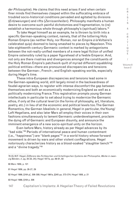*der Philosophie*). He claims that this need arises if and when certain finer minds find themselves clasped within the suffocating embrace of troubled socio-historical conditions pervaded and agitated by divisions (*Entzweiungen*) and rifts (*Zerrissenheiten*). Philosophy manifests a human desire to overcome such painful dichotomies and fragmentation, to (re) establish a harmonious whole through philosophy's (spiritual) labors.<sup>79</sup>

To take Hegel himself as an example, he is thrown by birth into a specific German-speaking context, namely, that of the tottering Holy Roman Empire (as neither Holy, nor Roman, nor an Empire *à la* Voltaire's celebrated quip) doomed to being smashed to pieces by Napoleon. This late-eighteenth-century Germanic context is marked by antagonisms between the not-really-unified members of a mere legal fiction of unified Empire ostensibly ruled by a paper figurehead of a feeble Emperor. And, not only are there rivalries and divergences amongst the constituents of the Holy Roman Empire's patchwork quilt of myriad different squabbling political entities—there are pronounced discrepancies and tensions between the German-, French-, and English-speaking worlds, especially during Hegel's time.

These intra-European discrepancies and tensions lead some in the German-speaking world, still largely mired in the backwardness of feudal-agrarian ways, to register with intense discomfort the gap between themselves and both an economically modernizing England as well as a politically modernizing France. This registration prompts young German intellectuals in particular to set about trying to modernize the Germanic ethos, if only at the cultural level (in the forms of philosophy, art, literature, poetry, etc.) in lieu of at the economic and political levels too. The German Romantics, the German Idealists in general, Hegel in particular, the Young/ Left Hegelians, and also later Marx all employ their voices in their own fashions simultaneously to lament Germanic underdevelopment, proclaim the dying off of Germanic and European disunity, and announce the imminent emergence of a new socio-spiritual unity on the horizon.

Even before Marx, history already as per Hegel advances by its "bad side."80 Periods of international peace and human contentment (i.e., "happiness") are "blank pages"81 in a world history whose forward movement is driven by wars and other violent conflagrations. Hegel notoriously characterizes history as a blood-soaked "slaughter bench"82 and a "divine tragedy."<sup>83</sup>

80 Marx 1956, p. 121

81 Hegel 1956, pp. 26-27, 29

82 Hegel 1999, §164 p[. 306-308; Hegel 1991a, §345 pp. 373-374; Hegel 1956, p. 21

83 Hegel 1999, §164 p. 306

C

<sup>79 (</sup>G.W.F. Hegel, *Differenz des Fichteschen und Schellingschen Systems der Philosophie*, *Werke in zwanzig Bänden, 2*, pg. 20-22, 24); Hegel 1977a, pp. 89-91, 93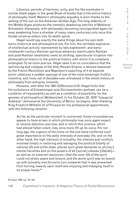Likewise, periods of harmony, unity, and the like eventuate in similar blank pages in the great Book-of-books that is the entire history of philosophy itself. Western philosophy arguably is born thanks to the setting of the sun on the Athenian Golden Age. The long stability of the Middle Ages produces the mentally deadening sterility of Medieval Scholastic theosophy, with philosophy becoming reinvigorated again (or even awakening from a slumber of many, many centuries) only once this feudal universe enters into its death spiral.

Hegel would say exactly the same things about his own both socio-historical and philosophical era. For him, the veritable explosion of intellectual activity represented by late-eighteenth- and earlynineteenth-century German spiritual advances (particularly Kantian and post-Kantian idealisms) owes its striking, spectacular irruption into philosophical history to the political history with which it is complexly entangled. To be more precise, Hegel sees it as no coincidence that the splintering and collapse of the Holy Roman Empire, a demise hastened by the French Revolution and Napoleon's exporting of it at bayonet point, catalyzes a sudden upsurge of one of the most amazingly fruitful, inventive, and lively set of decades ever witnessed in the whole history of philosophy from antiquity onwards.

However, well after the 1801 *Differenzschrift*, Hegel hints that the turbulence of *Entzweiungen* and *Zerrissenheiten* perhaps can be a condition of impossibility as well as a condition of possibility for the genesis of philosophical *Weltweisheit*. In his October 22, 1818 "Inaugural Address" delivered at the University of Berlin, he begins, after thanking King Friedrich Wilhelm III of Prussia for his professorial appointment, with the following remarks:

As far as the *particular moment* is concerned, those circumstances appear to have arisen in which *philosophy* may once again expect to receive *attention* and *love*, and in which this science, which had almost fallen silent, may once more lift up its voice. For not long ago, the *urgency of the times* on the one hand conferred such great importance on the *petty* interests of everyday life, and on the other hand, the *high interests* of actuality, the interest and *conflicts* involved simply in restoring and salvaging the *political totality of national life and of the state*, placed such great demands on all [our] mental faculties and on the powers of all [social] classes [*Stände*] as well as on external resources—*that the inner life of the spirit* could not attain *peace* and leisure; and *the world spirit* was so bound up with actuality and *forced to turn outwards* that it was prevented from turning *inwards* upon itself and enjoying and indulging itself in its proper home.<sup>84</sup>

C

<sup>84</sup> Hegel 1999, pp. 181-182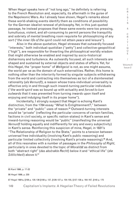When Hegel speaks here of "not long ago," he definitely is referring to the French Revolution and, especially, its aftermath in the guise of the Napoleonic Wars. As I already have shown, Hegel's remarks about these world-shaking events identify them as conditions of possibility for the German idealist renewal of philosophy. Yet, in this just-quoted passage, he instead proposes that these same events were too pressing, tumultuous, violent, and all-consuming to permit persons the tranquility and sobriety of mental breathing room requisite for philosophizing of any sort ("*the inner life of the spirit* could not attain *peace* and leisure").

Also in the above quotation, Hegel stresses that outwardly focused "interests," both individual-quotidian ("petty") and collective-geopolitical ("high"), are responsible for thwarting the philosophical worldly wisdom that might otherwise be enabled and inspired by socio-historical disharmony and turbulence. As outwardly focused, all such interests are shaped and sustained by external objects and states of affairs. Yet, for this Hegel, the "proper home" of *Weltgeist* is not, as one might assume, the world per se as the domain of such externalities. Rather, this home is nothing other than the interiority formed by singular subjects withdrawing from the world and contracting into themselves as loci of a disinterested rationality (*als Vernunft*), a reason whose trans-individual universality is effective only in and through such inward-turning particular individuals ("*the world spirit* was so bound up with actuality and *forced to turn outwards* that it was prevented from turning *inwards* upon itself and enjoying and indulging itself in its proper home").

Incidentally, I strongly suspect that Hegel is echoing Kant's distinction, from the 1784 essay "What Is Enlightenment?," between the "private" and "public" uses of reason.<sup>85</sup> Outward-turning interests would be "private" (reflecting the particular concerns of certain families, factions in civil society, or specific nation-states) in Kant's sense and inward-turning reasoning would be "public" (manifesting the universal *Vernunft* holding equally and indifferently for any and every subjectivity) in Kant's sense. Reinforcing this suspicion of mine, Hegel, in 1831's "The Relationship of Religion to the State," points to a tension between universal free individuality (involving Kant's public reasoning) and particular limited collectivity (involving Kant's private reasoning).<sup>86</sup> And, all of this resonates with a number of passages in the *Philosophy of Right*, particularly in ones devoted to the topic of *Moralität* as distinct from both "abstract right" (*das abstrakte Recht*) below it and "ethical life" (*die Sittlichkeit*) above it.<sup>87</sup>

85 Kant 1996, p. 17-22

86 Hegel 1999, p. 230

87 Hegel 1991a, §106 p. 135-136 §108 p. 137, §126-127 p. 154-155, §137-138 p. 164-167, §140 p. 175

149 Capitalism's Implants: A Hegelian Theory of Failed Revolutions

I S & C R I T I Q U E / Volume 8

Issue 2

C R I S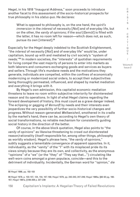Hegel, in his 1818 "Inaugural Address," soon proceeds to introduce another facet to this assessment of the socio-historical prospects for true philosophy in his *status quo*. He declares:

What is opposed to philosophy is, on the one hand, the *spirit's immersion* in the *interest* of necessity [*Not*] and of everyday life, but on the other, the *vanity* of *opinions*; if the soul [*Gemüt*] is filled with the latter, it has no room left for reason—which does not, as such, pursue its own [interest].<sup>88</sup>

Especially for the Hegel deeply indebted to the Scottish Enlightenment, "the *interest* of necessity [*Not*] and of everyday life" would be, under capitalism, bound up with and mediated by civil society's "system of needs."89 In modern societies, the "interests" of quotidian requirements for living compel the vast majority of persons to enter into markets as both laborers and consumers exchanging goods and services as buyers and sellers. Through life's mundane needs and the motivations they generate, individuals are compelled, within the confines of economically modernizing or modernized social orders, to accept their subjectivities being thoroughly permeated, influenced, and shaped by market mediation and everything it brings with it.

By Hegel's own admission, this capitalist economic mediation threatens to leave no room within subjective interiority for disinterested reason and its operations. In light of what Hegel claims regarding the forward development of history, this must count as a grave danger indeed. The eclipsing or gagging of *Vernunft* by needs and their interests even jeopardizes the very possibility of further socio-historical changes and progress. Without reason-generated *Weltweisheit*, smothered in its cradle by the market's hand, there can be, according to Hegel's own theory of social transformations, no reliable mechanism for consistently guiding social history in the direction of the better.

Of course, in the above block quotation, Hegel also points to "the *vanity* of *opinions*" as likewise threatening to crowd out disinterested reason/rationality (itself responsible for, among other things, philosophy as worldly wisdom). Hegel's phrase here, "the *vanity* of *opinions*," subtly suggests a lamentable convergence of apparent opposites. In it, individuality, as the "vanity" of the "I" with its misplaced pride its its views simply because they are its own, and collectivity, as the anonymous "opinions" of a "we" (or the "they" of "They say that…") circulating like well-worn coins amongst a given populace, coincide—and this to the detriment of individuality. Incidentally, the German word for "opinion," *die*  C R I S I

<sup>88</sup> Hegel 1999, pp. 182-183

<sup>89</sup> Hegel 1979, p. 103-107, 124, 154, 167-168; Hegel 1979, pp. 242-243, 247-249; Hegel 1995a, §92-93 pg. 166- 167; Hegel 1991a, §189-208 p. 227-239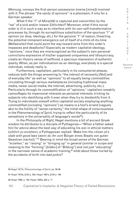*Meinung*, conveys the first-person possession (*meine* [mine]) involved with it. The phrase "the *vanity* of *opinions*" is a pleonasm, if only for a German speaker.

What if the "I" of *Moralität* is captured and overwritten by the "we" of a sick and/or insane *Sittlichkeit*? Moreover, what if this social order is ill in such a way as to interfere with its own self-transformative processes by, through its surreptitious substitution of the spurious "I" of opinion (or *doxa*, ideology, etc.) for the genuine "I" of reason, thwarting the potential immanent emergence out of itself of a child-of-its-time *Weltweisheit* that could point the way toward exits from this order's impasses and deadlocks? Especially as modern capitalist ideology, "opinions," once they are misrecognized as the subject's own personal convictions expressive of his/her supposed uniqueness and idiosyncrasy, create an illusory sense of selfhood, a specious impression of authentic ipseity. When, as per individualism as an ideology, everybody is a special individual, nobody really is.

Furthermore, capitalism, particularly in its consumerist phases, reduces both the things answering to "the *interest* of necessity [*Not*] and of everyday life" as well as "opinions" to all equally being commodities circulating through various marketplaces (including traditional mass media, newer social media, the internet, advertising, publicity, etc.). Particularly through its commodification of "opinions," capitalism sneakily camouflages its impersonal interests as personal interests, tricking its subjects into identifying with it even when they try to disidentify from it. Trying to individuate oneself within capitalist society employing anything commodified (including "opinions") as means is a fool's errand (vaguely akin to the futility of "sense-certainty," the initial shape of consciousness in the *Phenomenology of Spirit*, trying to reflect the particularity of its sensations in the universality of language's words<sup>90</sup>).

In the *Philosophy of Right*, Hegel mentions a bit of ancient Greek wisdom he attributes to a disciple of Pythagoras—"When a father asked him for advice about the best way of educating his son in ethical matters (*sittlich zu erziehen*), a Pythagorean replied: 'Make him the *citizen of a state with good laws* (*wenn du ihn zum* Bürger eines Staats von guten Gesetzen *machst*).'"91 Bearing in mind the broad sense of the German "*erziehen*," as "raising" or "bringing up" in general (similar in scope and meaning to the "forming" [*bilden*] of "*Bildung*") and not just "educating" in the narrower sense of academic training,<sup>92</sup> what about those hurled by the accidents of birth into bad *poleis*?

91 Hegel 1970a, §153 p. 303; Hegel 1991a, §153 p. 196

<sup>90</sup> Hegel 1977b, *Phenomenology of Spirit*, pp. 58-66

<sup>92</sup> Hegel 1999, p. 162; Hegel 1995a, §22 p. 71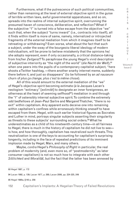Furthermore, what if the putrescence of such political communities, rather than remaining at the level of external objective spirit in the guise of terrible written laws, awful governmental apparatuses, and so on, spreads into the realms of internal subjective spirit, overrunning the presumed haven of conscience, deliberation, and reflection? What if the subjective "I" is turned into a false escape from the objective "we" such that, when the subject "turns inward" (i.e., contracts into itself), all it finds within itself is more of same, namely, internalized or introjected fragments of the external mediation from which it imagines itself to be retreating or withdrawing? Even worse, what about the fact that such a subject, under the sway of the bourgeois-liberal ideology of modern individualism, will be prone to believe mistakenly that the opinions he/ she adopts represent, even if only occasionally, a critical distance-taking from his/her *Zeitgeist*? To paraphrase the young Hegel's vivid description of subjective interiority as "the night of the world" (*die Nacht der Welt*),93 when one peers into the pupils of a contemporary capitalist subject, "here shoots a Twitter hashtag, —there another snarky internet meme, suddenly there before it, and just so disappears" (to be followed by an *ad nauseum* churn of *plus ça change, plus c'est la même chose*).

All of this would amount to the external mediation of the "we" of Hegel's objective spirit becoming extimate (*à la* Jacques Lacan's neologism "extimacy" [*extimité*] to designate an inner foreignness, an otherness at the heart of seeming selfhood<sup>94</sup>) mediation in and through the "I" of ostensibly internal subjective spirit. To combine the extremely odd bedfellows of Jean-Paul Sartre and Margaret Thatcher, "there is no exit" within capitalism. Any apparent exits deceive one into remaining within capitalism's confines while erroneously thinking oneself to have escaped from them. Hegel, with such earlier historical figures as Socrates and Luther in mind, portrays singular subjects asserting their singularity as threats to these subjects' surrounding social orders.<sup>95</sup> What he underestimates as a child of his nineteenth-century time—in all fairness to Hegel, there is much in the history of capitalism he did not live to see is how, and how thoroughly, capitalism has neutralized such threats. This neutralization is one of the keys to accounting for capitalism's surprising longevity, including in the face of repeated predictions of its imminent implosion made by Hegel, Marx, and many others.

Maybe, *contra* Hegel's *Philosophy of Right* in particular, the real problem of modernity (and, even more so, of "postmodernity" as later consumer capitalism) is not so much how to integrate with each other *Sittlichkeit* and *Moralität*, but the fact that the latter has been annexed by

94 Lacan 1992, p. 139; Lacan 1977, p. 268; Lacan 2006, pp. 224-225, 249

95 Hegel 1995a, §140 p. 256

<sup>93</sup> Hegel 1987, p. 172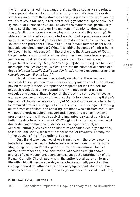the former and turned into a dangerous trap disguised as a safe refuge. The apparent shelter of spiritual interiority, the mind's inner life as its sanctuary away from the distractions and deceptions of the outer modern world's raucous rat race, is reduced to being yet another space colonized by capitalist business as usual. The din of the marketplace, particularly the noise of the media and on-line markets in "opinions," drowns out reason's silent soliloquy (or even tries to impersonate this *Vernunft*). To utilize some of Hegel's above-quoted words, what is progressive world spirit to do if and when it gets evicted from its proper home by occupying usurpers and pretenders? How, if at all, can it move forward under such inauspicious circumstances? What, if anything, becomes of it after being deposed into homelessness? In the preface to the *Philosophy of Right*, Hegel, perhaps with considerations along the lines I have been exploring just now in mind, warns of the serious socio-political dangers of a "superficial philosophy" (i.e., *die Seichtigkeit* [shallowness] as a bundle of mere opinions [*Meinungen*]) which "corrupts the substantial source of all deeds (*die substantielle Quelle von den Taten*), namely universal principles (*die allgemeinen Grundsätze*)."96

Hegel himself, as seen, repeatedly insists that there can be no successful socio-political revolutions without prior spiritual reformations paving the way for them. Apropos the prospects (or lack thereof) for any such revolutions under capitalism, my immediately preceding speculations suggest that a Hegelian theory of the non-occurrences as well as occurrences of revolutions in social history pinpoints capitalism's hijacking of the subjective interiority of *Moralität* as the initial obstacle to be removed if radical change is to be made possible once again. Creating an exit from capitalism, and ensuring that those who exit from capitalism will not promptly set about inadvertently recreating it once they have presumably left it, will require evicting implanted capitalist constructs both infrastructural (such as a C-M-C′ logic of internalized consumerist desire dancing to the tune of M-C-M′ as the logic of capital) and superstructural (such as the "opinions" of capitalist ideology pandering to individuals' vanity) from the "proper home" of *Weltgeist*, namely, the "inner space" of the "I" as rational subject.

Only if and when such evictions transpire will there be reason to hope for an improved social future, instead of yet more of capitalism's stagnating frenzy and/or abrupt environmental breakdown. This is a matter of whether and, if so, how capitalist societies might spawn avatars of a new communist conscience, just as the putrefaction of the Roman Catholic Church (along with the entire feudal-agrarian form of life with which it was inseparably entangled) eventually provoked the coming forward of Luther as a revolutionary figure (and, along with him, Thomas Müntzer too). At least for a Hegelian theory of social revolution, Issue 2

C R I S I

<sup>96</sup> Hegel 1970a, p. 21-22; Hegel 1991a, p. 18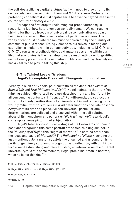the self-destabilizing capitalist *Sittlichkeit* will need to give birth to its own secular socio-economic Luthers and Müntzers, new Protestants protesting capitalism itself, if capitalism is to advance beyond itself in the course of further history *à venir*.

Perhaps the first step to reclaiming our proper autonomy is recognizing just how heteronomous we really remain. We can resume striving for the true freedom of universal reason only after we cease being infatuated with the false freedom of particular opinions. The vanity of capitalist private reason must be driven out by the humility of communist public reason. Doing violence to ourselves in tearing out capitalism's implants within our subjectivities, including its M-C-M′ and C-M-C′ circuits as prosthetic drives extimately subsisting within our libidinal economies, is the first step towards reactivating our long-stifled revolutionary potentials. A combination of Marxism and psychoanalysis has a vital role to play in taking this step.

Volume 8 Issue 2

C R  $\mathbf{I}$ S I S & C R I T I Q U E /

#### **§4 The Tainted Love of Wisdom: Hegel's Incomplete Break with Bourgeois Individualism**

Already in such early socio-political texts as the Jena-era *System of Ethical Life* and *First Philosophy of Spirit*, Hegel maintains that truly freethinking subjectivity is itself pure *qua* detached from and indifferent to all surrounding contextual influences.<sup>97</sup> Put differently, the subject that truly thinks freely purifies itself of all investment in and tethering to its worldly milieu with this milieu's myriad determinations, the kaleidoscopic *Zeitgeist* of its time and place. All non-universal, particularistic determinations are eclipsed and dissolved within the self-relating abyss of its monochromatic purity (as "*die Nacht der Welt*" *à la* Hegel's contemporaneous picturing of subjectivity).

Hegel's later socio-political writings of the Berlin era continue to posit and foreground this same portrait of the free-thinking subject. In the *Philosophy of Right*, this "night of the world" is nothing other than the locus and basis of *Moralität*. 98 The *Philosophy of History*, echoing the just-mentioned Jena material, extols the unsullied and uncompromising purity of genuinely autonomous cognition and reflection, with thinking's turn inward establishing and reestablishing an interior zone of indifferent universality.99 At this same moment, Hegel proclaims, "Man is not free, when he is not thinking."<sup>100</sup>

97 Hegel 1979, pp. 124-125; Hegel 1979, pp. 227-228 98 Hegel 1991a, §104 pp. 131-132; Hegel 1995a, §50 p. 107 99 Hegel 1956, pp. 438-439 100 Ibid., p. 439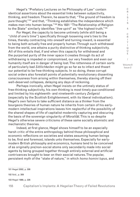Hegel's "Prefatory Lectures on he Philosophy of Law" contain identical assertions about the essential links between subjectivity, thinking, and freedom. Therein, he asserts that, "The ground of freedom is pure thought,"101 and that, "Thinking establishes the independence which makes men into human beings."102 His 1831 "The Relationship of Religion to the State" similarly identifies "*free spirit*" as "the highest truth."103

For Hegel, the capacity to become untimely (while still being a "child of one's time") specifically through loosening one's ties to the times, thereby contracting into oneself and turning inward, is essential to being both actually free and properly human. Through such withdrawal from the world, one attains a purity distinctive of thinking subjectivity. All of this entails that, if and when this capacity for withdrawal and the purported purity of the inner space it creates through its act of withdrawing is impeded or compromised, our very freedom and even our humanity itself are in danger of being lost. The rottenness of certain sorts of particularly bad *Sittlichkeiten* might go so far as to infect and thwart our potential to be free-thinking subjects. In so doing, these corrupt social orders also forestall points of potentially revolutionary dissenting consciousness from arising within themselves, thereby staving off their well-deserved collapses, delaying any days of reckoning.

Perhaps ironically, when Hegel insists on the untimely status of free-thinking subjectivity, his own thinking is most timely *qua* conditioned and limited by his eighteenth- and nineteenth-century *Zeitgeist* (especially by the Scottish Enlightenment, with its liberal individualism). Hegel's own failure to take sufficient distance as a thinker from the bourgeois theories of human nature he inherits from certain of his earlymodern intellectual inspirations leaves him neglectful of the possibility of the shared shapes of life of capitalist modernity capturing and obscuring the basis of the sovereign singularity of *Moralität*. This is so despite Hegel's otherwise severe criticisms of these same socially atomistic and mechanistic theories.

Indeed, at first glance, Hegel shows himself to be an especially harsh critic of the entire anthropology behind those philosophical and economic reflections on societies and states assuming human beings to be, first and foremost, islands unto themselves. Especially for earlymodern British philosophy and economics, humans tend to be conceived of as originally pre/non-social atoms only secondarily made into social agents by being grouped together through entirely external and artificial contrivances brought to bear on their asocial natures. The popular, persistent myth of the "state of nature," in which *homo homini lupus*, and

101 Hegel 2002, p. 306 102 Ibid., p. 309 103 Hegel 1999, p. 226 Issue 2

C R  $\mathbf{I}$ S I S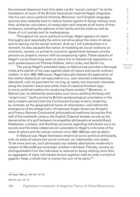the eventual departure from this state via the "social contract" lie at the foundation of much of the British theoretical material Hegel integrates into his own socio-political thinking. Moreover, such English-language sources also relatedly tend to reduce human agents to being nothing more than utilitarian calculators of measurable self-interest at all levels of their existence, including the spheres of the family and the state as well as those of civil society and its marketplaces.

Throughout his socio-political writings, Hegel appears to reject thoroughly and repeatedly the entire narrative about the state of nature and its taming via the social contract. And, as I will substantiate in a moment, he also assaults the notion of modeling all social relations on contracts, namely, on primarily economic agreements between private persons as property owners with accompanying rights. These aspects of Hegel's social theorizing seem to place him in diametrical opposition to such predecessors as Thomas Hobbes, John Locke, and Smith too.

The young Hegel's extended essay on *Natural Law* provides a thorough initial articulation of his case against state-of-nature and social-contract models. In this 1802-1803 piece, Hegel basically blames the application of the neither-dialectical-nor-speculative (i.e., sub-rational) understanding (*Verstand*), with its penchant for carving up reality into atomistic elements along the dualistic black-and-white lines of classical bivalent logic, to socio-political matters for producing these models.<sup>104</sup> Moreover, in *Natural Law*, he defensibly associates such socio-political thinking with "empiricism," itself a primarily British epistemological orientation in the early-modern period (with the Continental Europe of early modernity, by contrast, as the geographical home of rationalism—well before the emergence of the antagonistic rift between Anglo-American Analytic and Franco-German Continental philosophical traditions during the first half of the twentieth century, the English Channel already serves as the demarcation of a gulf between incompatible philosophical sensibilities). Hobbesian, Lockean, and Smithian accounts regarding individuals *vis-à-vis* society and the state indeed are all vulnerable to Hegel's criticisms of the state of nature and the social contract *circa* 1802-1803 (as well as after).

In *Natural Law*, Hegel dismisses empiricist socio-political philosophy, with its state of nature and social contract, as indefensibly one-sided. To be more precise, such philosophy lop-sidedly absolutizes modernity's subject of *Moralität qua* sovereign isolated individual. Thereby, society as distinguishable from the individual is reduced to being nothing more than an aggregate of many individuals thrown together side-by-side in a kind of gigantic heap, a whole that is merely the sum of its parts.<sup>105</sup>

104 Hegel 1999, pp. 105-106, 172-174

105 Ibid., pp. 112-114

S & C R I T I Q U E / Volume 8

C R I S I

Issue 2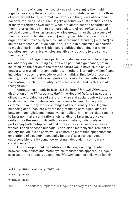This pile of atoms (i.e., society as a simple sum) is then held together solely by the external imposition, ultimately backed by the threat of brute violent force, of formal frameworks in the guises of economic, political, etc. rules. Of course, Hegel's absolute idealist emphasis on the primacy of relations over relata, when brought to bear on societies and their histories, leads him to promote a picture of real *poleis*, of actual political communities, as organic wholes greater than the bare sums of their parts (with Hegelian reason [*Vernunft*] as able to conceptualize organic structures and dynamics, unlike the understanding [*Verstand*] as limited to mechanical-style cognition). This is in diametrical opposition to much of early-modern British socio-political theorizing, for which societies are mechanical wholes analytically reducible to the sums of their parts.106

In fact, for Hegel, these parts (i.e., individuals as singular subjects) are what they are, including as units with political significance, not in isolation (as the fiction of the state of nature would have it), but only in networks of myriad interconnections with others. Normatively significant individuality does not precede, even in a mythical time before recorded history, this individuality's recognition by relevant social authorities. On the contrary: Such individuality is an effect constituted by this social recognition.107

Anticipating already in 1802-1803 the later *Moralität*-*Sittlichkeit* distinction of the *Philosophy of Right*, the Hegel of *Natural Law* seeks to offset the one-sidedness of state-of-nature and social-contract theories by striking a dialectical-speculative balance between two equally extreme but mutually exclusive images of social reality. This Hegelian balancing act brings into play the long-standing ontological dispute between nominalists and metaphysical realists, with empiricists tending to favor nominalism and rationalists tending to favor metaphysical realism. For the empiricists with their nominalism, individuals as parts enjoy both metaphysical and political priority over societies as wholes. For an opposed but equally one-sided metaphysical realism of society, individuals as parts would be nothing more than epiphenomenal emanations of a society (especially its state) as a transcendent supersensible totality somehow existing independently of its many constituents.108

The socio-political permutation of the long-running debate between nominalists and metaphysical realists thus appears, in Hegel's eyes, as pitting a falsely absolutized *Moralität* against a likewise falsely

S & C R I T I Q U E / Volume 8

C R  $\mathbf{I}$ S I

Issue 2

<sup>106</sup> Ibid., pp. 112-114; Hegel 1999, pp. 262-263, 265

<sup>107</sup> Idid., pp. 112-114

<sup>108</sup> Ibid., pp. 115-117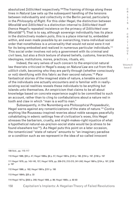absolutized *Sittlichkeit* respectively.109 The framing of things along these lines in *Natural Law* sets up the subsequent handling of the tensions between individuality and collectivity in the Berlin period, particularly in the *Philosophy of Right*. For this older Hegel, the distinction between *Moralität* and *Sittlichkeit* is a distinction internal to *Sittlichkeit* itself (hence Hegel's repeated insistence on the primacy of *Sittlichkeit* over *Moralität*110). That is to say, although sovereign individuality has its place in the distinctively modern *polis*, this is a place internal to, embedded within, and even made possible by an overarching, trans-individual social order that nonetheless is a universality that would not exist were it not for its being embodied and realized in numerous particular individuals.<sup>111</sup> This social order involves not only a government with its criminal and civil laws, but also a thick texture of shared beliefs, customs, hierarchies, ideologies, institutions, mores, practices, rituals, etc.

Indeed, the very selves of such concern to the empiricist natural law theorists criticized in Hegel's essay on *Natural Law* are cut from this *sittlich* cloth, becoming who they are partly through (whether consciously or not) identifying with this fabric as their second natures.112 *Pace* fantastical stories of the imagined state of nature, a tenable account of the individuals one actually encounters and is familiar with in reallyexisting social realities reveals these individuals to be anything but islands unto themselves. An empiricism that claims to be all about knowledge based on concrete experience ought to be committed to such an account, rather than to cling to confabulations about a nature red in tooth and claw in which "man is a wolf to man."

Subsequently, in the Nuremberg-era *Philosophical Propaedeutic*, Hegel warns against any romanticizations of the state of nature.113 *Contra* anything like Rousseau-inspired reveries about noble savages peacefully cohabitating in edenic settings free of civilization's woes, this Hegel stresses the barbarism, cruelty, and might-makes-right injustice of what a hypothetical natural-as-pre/non-social state would be (a stress to be found elsewhere too<sup>114</sup>). As Hegel puts this point on a later occasion, the romanticized "state of nature" amounts to "an imaginary paradise or a condition such as we represent in the idea of so-called innocent

109 Ibid., pp. 115-117

110 Hegel 1986, §55 p. 47; Hegel 1995a, §8 p. 57; Hegel 1991a, §145 p. 190, §154 p. 197, §156 p. 197

111 Hegel 1979, pp. 143-145, 157; Hegel 1979, pp. 209-210, 212-213, 241-242; Hegel 1991a, §154 p. 197, §156 p. 197

112 Hegel 1999, p. 162; Hegel 1991a, §151 p. 195

113 Hegel 1984b, §25 p. 33

114 Hegel 1971a, §502 p. 248; Hegel 1956, p. 99; Hegel 1995c, p. 92-93

158 Capitalism's Implants: A Hegelian Theory of Failed Revolutions

R  $\mathbf{I}$ S I S & C R I T I Q U E / Volume 8 Issue 2

C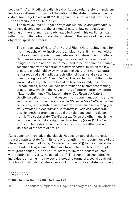peoples."115 Admittedly, this dismissal of Rousseauian-style romanticism involves a different criticism of the notion of the state of nature than the critical line Hegel takes in 1802-1803 against this notion as it features in British empiricism and liberalism.

The third volume of Hegel's *Encyclopedia*, his *Geistesphilosophie*, contains a development of the critique of natural law perspectives building on the arguments already made by Hegel in his earlier critical reflections on the notion of a state of nature. In the course of discussing objective spirit, he remarks:

The phrase 'Law of Nature,' or Natural Right (Naturrecht), in use for the philosophy of law involves the ambiguity that it may mean either right as something existing ready-formed in nature (*in* unmittelbarer Naturweise *vorhandenes*), or right as governed by the nature of things, i.e. by the notion. The former used to be the common meaning, accompanied with the fiction of a *state of nature*, in which the law of nature should hold sway; whereas the social and political state rather required and implied a restriction of liberty and a sacrifice of natural rights (*natürlicher Rechte*). The real fact is that the whole law and its every article are based on free personality (*die* freie Persönlichkeit) alone—on self-determination (Selbstbestimmung) or autonomy, which is the very contrary of determination by nature (Naturbestimmung). The law of nature (*Das Recht der Natur*) strictly so called—is for that reason the predominance of the strong and the reign of force (*das Dasein der Stärke und das Geltendmachen der Gewalt*), and a state of nature a state of violence and wrong (*ein Naturzustand ein Zustand der Gewalttätigkeit und des Unrechts*), of which nothing truer can be said than that one ought to depart from it. The social state (*Die Gesellschaft*), on the other hand, is the condition in which alone right has its actuality (*seine Wirklichkeit*): what is to be restricted and sacrificed is just the willfulness and violence of the state of nature.116

As is common knowledge, the classic Hobbesian tale of the transition from the natural state (with its rule of strength ["the predominance of the strong and the reign of force," "a state of violence"]) to the social state (with its rule of law) is one of the move from unlimited freedom coupled with great danger (i.e., the natural state) to limited freedom coupled with relative safety (i.e., the social state). This transition transpires via individuals entering into the society-creating terms of a social contract, in which all individuals transfer sovereignty to the political state, including

Issue 2

<sup>115</sup> Hegel 2002, p. 313

<sup>116</sup> Hegel 1987, §502 pp. 311-312; Hegel 1971a, §502 p. 248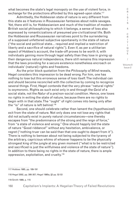what becomes the state's legal monopoly on the use of violent force, in exchange for the protections afforded by this agreed-upon state.<sup>117</sup>

Admittedly, the Hobbesian state of nature is very different from this state as it features in Rousseauian fantasies about noble savages. Yet, there still is, for Hobbesianism and much of the tradition of modern British social philosophizing to which it belongs, a sense of loss also expressed by romanticizations of presumed pre-civilizational life. Both the Hobbesian and Rousseauian narratives point to the surrendering of a supposed unfettered subjective spontaneity in the state of nature ("the social and political state… required and implied a restriction of liberty and a sacrifice of natural rights"). Even if, as per a utilitarian aspect of Hobbes's account, the trade-off proves to be worth it, with individuals gaining more through legal safety than they lose in giving up their dangerous natural independence, there still remains this impression that the laws providing for a secure existence nonetheless encroach on individuals' (natural) rights and freedoms.

As the prior block quotation from the *Philosophy of Mind* reveals, Hegel considers this impression to be dead wrong. For him, one has nothing to lose but this erroneous sense of loss itself. The individual can and should become reconciled with the collective by coming to recognize several things. First, Hegel contends that the very phrase "natural rights" is oxymoronic. Rights as such exist only in and through the *Geist* of a social state, not the *Natur* of a pre/non-social condition. Hence, one loses no rights in exiting the state of nature, because there are no rights to begin with in that state. The "ought" of right comes into being only after the "is" of nature is left behind.<sup>118</sup>

Second, one should celebrate rather than lament the (hypothesized) exit from the state of nature. Not only does one not lose any rights that did not actually exist in purely natural circumstances—one thereby escapes from "the predominance of the strong and the reign of force," from "a state of violence and wrong." One should happily bid the state of nature "Good riddance!" without any hesitation, ambivalence, or regret ("nothing truer can be said than that one ought to depart from it"). There is nothing to bemoan about not being subjected to the tyranny of the arbitrary, capricious whims of whoever happens to be the physically strongest king of the jungle at any given moment ("what is to be restricted and sacrificed is just the willfulness and violence of the state of nature"). In addition to there being no rights in the state of nature, there is ample oppression, exploitation, and cruelty.119

<sup>117</sup> Hobbes 1985, pp. 189-191

<sup>118</sup> Hegel 2002, pp. 306-307; Hegel 1995a, §2 pp. 52-53

<sup>119</sup> Smith 1989, p. 115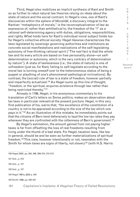Third, Hegel also mobilizes an implicit synthesis of Kant and Smith so as further to rebut natural law theories relying on ideas about the state of nature and the social contract. In Hegel's view, one of Kant's discoveries within the sphere of *Moralität*, a discovery integral to the Kantian "metaphysics of morals," is the reconceptualization of law as expressive of, rather than antithetical to, the freedom of the "I" as a rational self-determining agency with duties, obligations, responsibilities, and rights. What holds here for Kant's individual moral subject holds too for Hegel's collective ethical society: Hegel likewise characterizes the laws legislated by sovereign governing authorities and institutions as concrete social manifestations and realizations of the self-legislating autonomy of free-thinking rational spirit ("The real fact is that the whole law and its every article are based on free personality alone—on selfdetermination or autonomy, which is the very contrary of determination by nature"). A state of lawlessness (i.e., the state of nature) is one of unfreedom (just as, for Kant, failing to self-legislate according to the moral law is turning oneself over to the heteronomous status of being a puppet or plaything of one's phenomenal-pathological inclinations). By contrast, the (social) rule of law is a state of freedom, however partially and imperfectly actualized.<sup>120</sup> As Hegel sums up this line of thought, "freedom, or the spiritual, acquires existence through law rather than being restricted thereby."<sup>121</sup>

Already in 1798, Hegel, in his anonymous commentary to his translation of Cart's letters on Swiss politics, makes an observation about tax laws in particular relevant at the present juncture. Hegel, in this very first publication of his, warns that, "the excellence of the constitution of a country is not to be appraised according to the size of the tax which one pays in it."122 As an illustration of this mistake, he immediately points out that the citizens of Bern tend defensively to laud the low tax rates they pay whenever they are confronted with the rottenness of Bern's government.<sup>123</sup>

By Hegel's estimation, the amount gained from not paying higher taxes is far from offsetting the loss of real freedoms resulting from living under the thumb of a bad state. For Hegel, taxation laws, like law in general, should be and be seen as further materializations of spiritual freedom.124 This view, however intentionally or not, resonates with the Smith for whom taxes are signs of liberty, not slavery<sup>125</sup> (with H.S. Harris

120 Hegel 2002, pp. 304, 306, 309-310, 312-313 121 Ibid., p. 310 122 Ibid., p. 127 123 Ibid., p. 127 124 Hegel 1991a, §302 p. 343 125 Smith 1999, pp. 450-451

C R  $\mathbf{I}$ S I S & C R I T I Q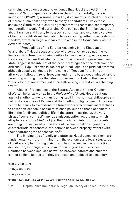surmising based on persuasive evidence that Hegel studied Smith's *Wealth of Nations* specifically while in Bern<sup>126</sup>). Incidentally, there is much in the *Wealth of Nations*, including its numerous pointed criticisms of mercantilism, that apply even to today's capitalism in ways those assuming Smith to be in overall agreement with recent and contemporary neoliberalism would find surprising. One can see the Smithian assertion about taxation and liberty to be a social, political, and economic version of Kant's morality-level claim about law as creating rather than destroying freedom, a version Hegel appears to run with in the *Commentary on the Bern Aristocracy*.

In "Proceedings of the Estates Assembly in the Kingdom of Wurtemberg," Hegel accuses those who perceive laws as nothing but limits curbing freedom of being guilty of a mob mentality, so to speak. He states, "the view that what is done in the interest of government and state is *against* the interest of the people distinguishes the mob from the citizens."127 Populist attacks against political, legal, and juridical systems, although usually conducted in the name of "freedom," are, in truth, attacks on fellow citizens' freedoms and rights by a bloody-minded rabble promoting nothing more than destructive anarchy. Behind the banner of "liberty for all" sometimes lurks the self-serving interests of a scheming few.128

Also in "Proceedings of the Estates Assembly in the Kingdom of Wurtemberg" as well as in the *Philosophy of Right*, Hegel cautions against another tendency manifesting itself in the political philosophy and political economics of Britain and the Scottish Enlightenment. This would be the tendency to overextend the frameworks of economic marketplaces to cover non-economic social relationships, such as those of domestic life in the family and political life in the state. In particular, the very phrase "social contract" implies a misconception according to which all spheres of *Sittlichkeit*, not just that of civil society with its markets, are thought of as based on the sorts of transactional arrangements characteristic of economic interactions between property owners with their abstract rights of possession.<sup>129</sup>

The binding ties of family and state, as Hegel conceives them, are fundamentally different-in-kind from the economic and legal structures of civil society facilitating divisions of labor as well as the production, distribution, exchange, and consumption of goods and services. Relations between spouses as well as between parents and children cannot be done justice to if they are recast and reduced to secondary

126 Harris 1983, p. 126 127 Hegel 1964, p. 259 128 Hegel 1956, p. 430 129 Hegel 1964, pp. 256-258, 262-263, 280-281; Hegel 1991a, §75 pp. 105-106, §281 p. 324

T I Q U E / Volume 8

C R  $\mathbf{I}$ S I S & C R I

Issue 2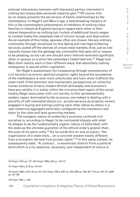external interactions between self-interested parties interested in nothing but measurable personal material gain.<sup>130</sup> Of course, this by no means prevents the perversion of family relationships by the marketplace. In Hegel's and Marx's age, a heartbreaking instance of this is the commonplace phenomenon of members of working class families in industrial England having to regard each other in their shared desperation as nothing but rivulets of additional hourly wages to combat feebly the ceaseless tide of chronic hunger and deprivation. As an example of this today, spouses often are chosen like any ordinary commodity through monetized on-line dating and marriage-brokering services, pulled off the shelves of virtual meat markets. And, just as one casually tosses into the garbage any commodity that gets old or ceases to be pleasing, so too can one discard one's internet-selected significant other or spouse on a whim like yesterday's faded fashions.<sup>131</sup> Hegel and Marx both realize, each in their different ways, that absolutely nothing whatsoever is sacred within capitalism.

On Hegel's assessment, the trespassing through overextension of civil society's economic abstract property rights beyond the boundaries of the marketplace is even more unfortunate and toxic when it affects the state itself. If the atomistic and mechanistic perspectives on collective human existence of early-modern British philosophy and economics have any validity, it is solely within the circumscribed region of the social totality Hegel associates with civil society. In this quintessentially modern region dominated by the economy, one indeed is dealing with a plurality of self-interested atoms (i.e., private persons as property owners engaged in buying and selling) jostling each other elbow-to-elbow in a vast numerical aggregate externally configured by the mechanics laid down by the rules and laws governing markets.

The inorganic nature of modernity's economy-centered civil societies is, according to Hegel, to be contrasted sharply with what he alleges to be the fundamentally organic nature of *Sittlichkeit*, with the state as the ultimate guarantor of the ethical order's greater-thanthe-sum-of-its-parts unity.132 As he words this on one occasion, "the organization of a state rests… on a concrete wisdom totally different from a formalism derived from private rights."133 In this same context, he subsequently adds, "A contract… is essentially distinct from a political bond which is a tie objective, necessary, and independent of choice or

130 Hegel 1979, pp. 127-128; Hegel 1995a, §79 pp. 146-147

131 Hegel 1991a, §176 pp. 213-214

132 Hegel 1995a, §123-124 pp. 221-224; Hegel 1991a, §267 pp. 288, §269 pp. 290, §271-274 pp. 304-313, §286 pp. 327-328

133 Hegel 1964, p. 256

C R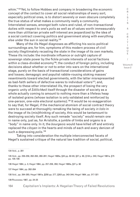whim."134 Yet, to follow Hobbes and company in broadening the economic concept of the contact to cover all social relationships of every sort, especially political ones, is to distort severely or even obscure completely the true status of what makes a community really a community. Interrelated senses, amongst both rulers and ruled, of non-transactional duties with respect to one's *polis* as well as of values worth immeasurably more than utilitarian private self-interest are jeopardized by the idea of a social contract covering politics and government along with everything else under the sun in social reality.<sup>135</sup>

Many of the ills Hegel diagnoses as afflicting his socio-political surroundings are, for him, symptoms of this modern process of civil society illegitimately recasting the state in the image of its own markets. These ills include: the inordinate influence or outright capture of sovereign state power by the fickle private interests of social factions within a class-divided economy<sup>136</sup>; the conduct of foreign policy, including decisions about whether or not to enter into wars on the international stage, purely on the basis of transactional considerations of gains and losses; demagogic and populist rabble-rousing stoking masses' resentments toward elected governments, with the latter misrepresented as bad-faith sellers of defective wares to individual voters<sup>137</sup>; and, thanks to these other interrelated ills, the prospect of losing the very organic unity of *Sittlichkeit* itself through the disaster of society as a whole actually coming to amount to nothing more than a lifeless heap of isolated grains (whose isolation is only validated and reinforced by one-person, one-vote electoral systems).138 It would be no exaggeration to say that, for Hegel, if the mechanical atomism of social contract theory were to succeed at thoroughly remaking the being of society *in toto* in the image of its (mis)thinking of society, this would be tantamount to destroying society itself. Any such remade "society" would remain one in name only, just as, for Aristotle, a jumble of limbs and organs is a "body" in name only. In it, the *bourgeois* would have killed off and entirely replaced the *citoyen* in the hearts and minds of each and every denizen of such a depressing *polis*. 139

Taking into consideration the multiple interconnected facets of Hegel's sustained critique of the natural law tradition of social, political,

134 Ibid., p. 281

135 Ibid., pp. 256-258, 262-263, 280-281; Hegel 1995a, §33 pp. 82-83, §37 p. 90, §134 p. 240; Hegel 1991a, §75 pp. 105-106

136 Hegel 1964, p. 3; Hegel 1964, pp. 257-258, 293; Hegel 1995a, §37 p. 90

137 Hegel 1964, pp. 262-264

138 Ibid., pp. 264-265; Hegel 1991a, §258 pp. 277, §303 pp. 343-344; Hegel 1964, pp. 317-321

139 Rousseau 1987, pp. 24-25

R I S I S & C R I T I Q U E / Volume 8 Issue 2

C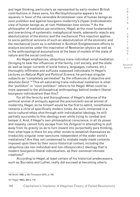and legal thinking, particularly as represented by early-modern British contributions in these veins, his *Rechtsphilosophie* appears to be squarely in favor of the venerable Aristotelean view of human beings as *zoon politikon* and against bourgeois modernity's (hyper-)individualistic view of human beings as, at root, Hobbesian lone wolves.140 As the philosopher of mediation *par excellence*, Hegel, at the most fundamental and overarching of systematic metaphysical levels, adamantly rejects any absolutization of the atomic and the mechanical. This rejection applies to socio-political versions of such an absolutization of the atomistic and the mechanical (such as is exhibited in Scottish Enlightenment efforts to analyze societies under the inspiration of Newtonian physics as well as in the anthropological assumptions at the base of models of the state of nature and the social contract).

As Hegel emphasizes, ubiquitous trans-individual social mediation (bringing to bear the influences of the family, civil society, and the state as well as larger currents of world history, languages, cultures, etc.) thoroughly infiltrates and suffuses supposed individuals. In Hegel's *Lectures on Natural Right and Political Science*, he portrays singular subjects as "completely permeated" by the influences of objective and absolute *Geist*. 141 This all-saturating trans-individual mediation is what the "*politikon*" in "*zoon politikon*" refers to for Hegel. What could be more opposed to the philosophical anthropology behind modern liberalbourgeois individualism than this?

For all the ferocity and thoroughness of Hegel's defense of the political animal of antiquity against the pre/non/anti-social animal of modernity, Hegel, as he himself would be the first to admit, nonetheless remains a child of specifically modern times. As such, immersed in a socio-cultural ethos shot through with individualist ideology, he still partially succumbs to this ideology even while trying to combat and temper it. And, if Hegel's own philosophical conscience, in all its power and majesty, cannot fully escape from his *Zeitgeist* in attempting to pull away from its gravity so as to turn inward into purportedly pure thinking, then what hope is there for any other minds to establish themselves as irreducibly singular inner sanctums independent of the wider world's mediations? Are they not condemned to mistake ready-made contents imposed upon them by their socio-historical context, including the ubiquitous (as non-individual and non-idiosyncratic) ideology that is modern bourgeois-liberal individualism, as their ownmost intimate creations?

According to Hegel, at least certain of his historical predecessors, such as Socrates and Luther, really did succeed at becoming utterly

140 Smith 1989, p. 62; Thompson 2015, p. 120

141 Hegel 1995a, §58 p. 116

I S & C R I T I Q U E / Volume 8

C R  $\mathbf{I}$ S

Issue 2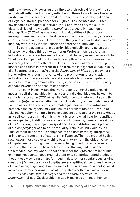untimely, thoroughly severing their links to their ethical forms of life so as to dwell within and critically reflect upon these forms from a therebypurified moral conscience. Even if one concedes this point about some of Hegel's historical predecessors, figures like Socrates and Luther nevertheless presaged, but crucially did not live to see, the culturalhistorical rise of individualistic *Moralität* as a socially hegemonic ideology. The *Sittlichkeit*-challenging individualities of these epochmaking figures, in their singularity, were not expressions of any alreadyestablished individualism. Only prior to the genesis of individualism as an ideology was it truly individualistic to assert one's individuality.

By contrast, capitalist modernity, ideologically codifying as part of its own workings things like Lutheran Protestantism's sovereign individual conscience, has made it such that the very assertiveness of the "I" of moral subjectivity no longer typically threatens, as it does in premodernity, the "we" of ethical life. The *faux* individualism of the subject of modern capitalism is different-in-kind from the idiosyncratic individuality of a Socrates or a Luther. Yet, in the *Philosophy of Right* and elsewhere, Hegel writes as though the purity of this pre-modern idiosyncratic individuality still were available and accessible to modern capitalist subjects (providing, among other things, the possibility of revolutionary changes beyond the horizon of capitalism).

Ironically, Hegel writes this way arguably under the influence of modern capitalist individualism as a trans-individual ideology baked into capitalism's peculiar *Sittlichkeit*. His Enlightenment-informed faith in the potential (re)emergence within capitalist modernity of genuinely free and pure thinkers drastically underestimates just how all-penetrating and pervasive the bourgeois individualism of liberalism (as a sort of cult of fake individuality in all its alluring speciousness) would prove to be. Hegel, as a self-confessed child of his time, falls prey to what I earlier identified as an especially insidious ruse of capitalist unreason, namely, the seizure of the "I" of singular subjective spirit and the substitution, in its place, of the *doppelgänger* of a false individuality. This false individuality is a Frankenstein-like stitch-up composed of and dominated by introjected or implanted fragments of capitalism's *Zeitgeist*. The trap created by this ruse leaves those subjects wishing to turn away from the objective spirit of capitalism by turning inward prone to being lulled into erroneously believing themselves to have achieved free-thinking independence from modern society when, in fact, their inner thoughts are not inner but extimate, not spontaneous original creations, but prefabricated products thoughtlessly echoing others (although mistaken for spontaneous original creations). When the voice of capitalism surreptitiously becomes the voice of conscience, disguising itself as each of our inner mental monologues, it makes conformist cowards of us all—and this whether we know it or not.

In *Less Than Nothing: Hegel and the Shadow of Dialectical Materialism*, Slavoj Žižek problematizes Hegel's treatment of human C R I S I S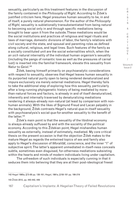sexuality, particularly as this treatment features in the discussion of the family contained in the *Philosophy of Right*. According to Žižek's justified criticism here, Hegel presumes human sexuality to be, in and of itself, a purely natural phenomenon. For the author of the *Philosophy of Right*, sexuality is sublationally transubstantiated from being natural to becoming social only in and through specific mediations being brought to bear upon it from the outside. These mediations would be the social institutions and practices of religious and legal rituals and laws of marriage, domestic divisions of labor, the family's relations with civil society and the state, and spousal and parenting roles as defined along cultural, religious, and legal lines. Such features of the family as a socially constituted unit are the social externalities which, when the *an sich* natural internality of the individual human organism's sexuality (including the pangs of romantic love as well as the pressures of carnal lust) is inserted into the familial framework, elevate this sexuality from *Natur* to *Geist*. 142

Žižek, basing himself primarily on psychoanalytic considerations with respect to sexuality, observes that Hegel leaves human sexuality in its purported natural purity open to being rendered denaturalized and impure exclusively via merely external mediations. Hegel thereby fails to take the additional step of exploring how this sexuality, particularly after a long-running phylogenetic history of being mediated by morethan-natural forces and factors, is already in and of itself denaturalized, inherently and internally traversed by denaturalizing mediations rendering it always-already non-natural (at least by comparison with nonhuman animals). With the likes of Sigmund Freud and Lacan palpably in the background, Žižek contrasts Hegel's natural-*qua*-in-itself sexuality with psychoanalysis's social-*qua*-for-another sexuality to the benefit of the latter.143

Žižek's main point is that the sexuality of the libidinal economy is always-already suffused by and with the sociality of the political economy. According to this Žižekian point, Hegel mishandles human sexuality as externally, instead of extimately, mediated. My core critical thesis on the present occasion is that the objection Žižek makes to the mature Hegel as regards the entwined topics of sex and family also apply to Hegel's discussion of *Moralität*, conscience, and the inner "I" of subjective spirit. The latter's apparent unmediated in-itself-ness conceals subtle, sometimes even disguised, for-otherness mediations subsisting within the hearts and minds of modern individuals living under capitalism.

The unfreedom of such individuals is especially cunning in that it seduces them into believing that they are at their post-ideological freest

142 Hegel 1995a, §73-88 pp. 138-161; Hegel, 1991a, §158-181 pp. 199-219

143 Žižek 2012, pp. 440-442, 449

Issue 2

C R I S I S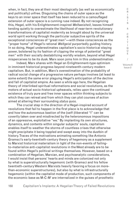when, in fact, they are at their most ideologically (as well as economically and politically) unfree. Disguising the chains of outer space as the keys to an inner space that itself has been reduced to a camouflaged extension of outer space is a cunning ruse indeed. By not recognizing this, Hegel, with his Enlightenment-inspired *Weltweisheit*, leaves himself tending quietly to overestimate the likelihood of near-term revolutionary transformations of capitalist modernity as brought about by the universal world spirit working through the particular subjective spirits of the exceptional consciences of "great men"—with these consciences as the "proper home" of Hegel's rational *Weltgeist* purportedly guiding history. In so doing, Hegel underestimates capitalism's socio-historical staying power, bolstered by its fashion of clipping the wings of potential "great men" with their socially destabilizing worldly wisdom, beyond what Hegel misperceives to be its dusk. Marx soon joins him in this underestimation.

Indeed, Marx shares with Hegel an Enlightenment-type optimism in imminent historical progress beyond nineteenth-century modern capitalism. But, in addition, Marx's overestimation of the probability of radical social change of a progressive nature perhaps involves (at least to some extent) the same error plaguing Hegel's anticipation of the decline and fall of capitalist empire. As seen a while ago here, the Hegelian theory of interlinked spiritual reformations and social revolutions, as the motors of actual socio-historical upheavals, relies upon the continued existence of truly pure and free inner spaces within thinking subjects to which they can retreat and from which they can plot courses of action aimed at altering their surrounding *status quos*.

The crucial step in the direction of a Hegel-inspired account of revolutions that fail to happen in the first place is to acknowledge that and how the autonomous bastion of the (self-)liberated "I" can be covertly taken over and misdirected by the heteronomous impositions of an oppressive, exploitative "we." By implanting its own structures, dynamics, and contents within singular subjects' souls, capitalism enables itself to weather the storms of countless crises that otherwise might precipitate it being toppled and swept away into the dustbin of history. Traces of the motivations animating something like Antonio Gramsci's early-twentieth-century theory of hegemony as a supplement to Marxist historical materialism in light of the non-events of failingto-materialize anti-capitalist revolutions in the West already are to be found within Hegel's political writings themselves. However, based on a combination of Hegelian, Marxian, and psychoanalytic considerations, I would insist that persons' hearts and minds are colonized not only by what is superstructurally hegemonic (with Gramsci and his fellow twentieth-century Western Marxists heavily favoring a focus on morethan-economic superstructures), but also by what is infrastructurally hegemonic (within the capitalist mode of production, such components of the economic base as M-C-M′ are internalized in the guises of prosthetic

C R I T I Q U E /

C R  $\mathbf{I}$ S I S &

Volume 8 Issue 2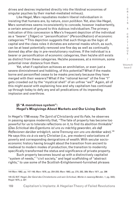drives and desires implanted directly into the libidinal economies of singular psyches by their market-mediated milieus).

Like Hegel, Marx repudiates modern liberal individualism in insisting that humans are, by nature, *zoon politikon*. Yet, also like Hegel, Marx sometimes seems inconsistently to concede, however inadvertently, a certain amount of ground to this dubious individualism. The primary indication of this concession is Marx's frequent depiction of the individual as a "bearer" (*Träger*) or "personification" (*Personifikation*) of economic categories.144 This depiction suggests that such things as the logic of capital and the class roles it dictates are external masks which, as such, can be at least potentially removed one fine day as well as continually donned day after day in pre-revolutionary routines. If the individual is a bearer or personification of economic categories, then he/she still exists as distinct from these categories. He/she possesses, at a minimum, some potential inner distance from them.

Yet, what if capitalism achieves an annihilation, or even just a severe diminishment and hobbling, of this potential? What if the masks borne and personified cease to be masks precisely because they have merged with their wearers? What if the "rational kernel" of the free "I" gets crowded out by the "mystical shell" of an unfree "we?" Again, all of this might assist with explaining how and why capitalism has continued up through today to defy any and all predications of its impending implosion and overthrow.

### **§5 "A monstrous system": Hegel's Misgivings About Markets and Our Living Death**

In Hegel's 1798 essay *The Spirit of Christianity and Its Fate*, he observes in passing apropos modernity that, "The fate of property has become too powerful for us to tolerate reflections on it, to find its abolition thinkable" (*Das Schicksal des Eigentums ist uns zu mächtig geworden, als daß Reflexionen darüber erträglich, seine Trennung von uns uns denkbar wäre*).145 He says this *vis-à-vis* early Christian (i.e., pre-modern) valorizations of poverty and corresponding denigrations of wealth. With secular socioeconomic history having brought about the transition from ancient to medieval to modern modes of production, the transition to modernity specifically transformed the status and significance of private property.

Such property becomes bound up with a distinctively capitalist "system of needs," "civil society," and legal scaffolding of "abstract rights," to use some of the Scottish-Enlightenment-furnished phrases

U E / Volume 8

Issue 2

C R I S I S & C R I T I Q

<sup>144</sup> Marx 1962, pp. 147-148; Marx 1976, pp. 254-255; Marx 1963, pp. 270, 282, 389; Marx 1971, pp. 296

<sup>145 (</sup>G.W.F. Hegel, *Der Geist des Christentums und sein Schicksal*, *Werke in zwanzig Bänden, 1*, pg. 333); Hegel 1975, p. 221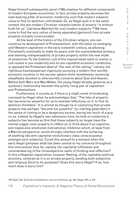Hegel himself subsequently (post-1798) employs for different components of modern European economies. In fact, private property becomes the load-bearing pillar of economic modernity such that modern subjects come to find its abolition unthinkable. Or, as Hegel puts it in the same context, the pre-modern Christian romanticization of poverty "is without truth for us" (*hat keine Wahrheit für uns*) modern subjects.146 We have come to find the very notion of being separated (*getrennt*) from private property virtually inconceivable.

At the level of the history of the Christian religion, one can construe its development of Protestantism, with the latter co-emerging with Western capitalism in the early-sixteenth century, as allowing Christianity eventually to make its peace with the unprecedented primacy and seeming indispensability of private property within the new mode of production. To the Catholic cult of the impoverished saint or martyr, a cult rooted in pre-modernity and its pre-capitalist economic conditions, is opposed the Protestant ideal of "the man of the calling," namely, the righteous businessperson vigorously pursuing a modern this-worldly economic vocation in the secular sphere while nonetheless remaining steadfastly devoted to otherworldly concerns about God and Heaven. Before both Marx and Max Weber, the young Hegel already gestures at a symbiotic relationship between the jointly rising pair of capitalism and Protestantism.

Furthermore, it sounds as if there is a slight mood of foreboding conveyed by Hegel when he acknowledges that, "The fate of property has become too powerful for us to tolerate reflections on it, to find its abolition thinkable." It is almost as though he is cautioning that private property has perhaps "become too powerful" (*zu mächtig geworden*) in the sense of coming to be a dangerous excess, having too much of a grip on us. Indeed, by Hegel's own admission here, its hold on modernity's subjects has become so firm that these subjects no longer have the mental wiggle room properly to reflect on or think about it (a cognitive, and maybe also emotional-motivational, inhibition which, at least from a Marxist perspective, would strongly interfere with the surfacing of anything like anti-capitalist revolutionary class consciousness amongst such subjects). Could this amount to a moment when the early Hegel glimpses what has been central to my concerns throughout this intervention thus far, namely, the capitalist infiltration and commandeering of the intrasubjective realm of thinking and reflection? Is this a Hegelian registration, however fleeting, of the capitalist political economy, centered as it is on private property, bending both subjective and religious *Geist* to its purposes? Does this worry Hegel? If so, how much does it worry him?

I S I S & C R I T I Q U E / Volume 8

Issue 2

C R

<sup>146</sup> Hegel, *Der Geist des Christentums und sein Schicksal*, pg. 333; Hegel 1975, p. 221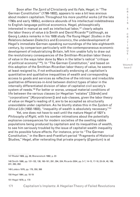Soon after *The Spirit of Christianity and Its Fate*, Hegel, in "The German Constitution" (1799-1802), appears to wax a bit less anxious about modern capitalism. Throughout his more youthful works (of the late 1790s and early 1800s), evidence abounds of his intellectual indebtedness to English-language political economics. Hegel, philosophically interested in manual as well as intellectual labor,<sup>147</sup> clearly adopts the labor theory of value *à la* Smith and David Ricardo<sup>148</sup> (although, as Georg Lukács remarks in his 1938 study *The Young Hegel: Studies in the Relations between Dialectics and Economics*, the underdevelopment of Hegel's immediate German-speaking surroundings of the late-eighteenth century, by comparison particularly with the contemporaneous economic development of industrializing Britain, left him unable fully to draw out the revolutionary consequences of the Smithian-Ricardian labor theory of value in the ways later done by Marx in the latter's radical "critique of political economy"149). In "The German Constitution," and based on this adoption of the Smithian-Ricardian labor theory of value, he seems at least resigned to, if not enthusiastically endorsing of, capitalism's quantitative and qualitative inequalities of wealth and corresponding access to goods and services as reflective of the intrinsic and irreducible qualitative differences-in-kind between distinct types of labor in the internally differentiated division of labor of capitalist civil society's system of needs.<sup>150</sup> For better or worse, unequal material conditions of life between the various classes (or Hegelian "estates" [*Stände*] and "corporations" [*Korporationen*]) and sub-classes, given the labor theory of value on Hegel's reading of it, are to be accepted as structurally unavoidable under capitalism. As he bluntly states this in the *System of Ethical Life* (1802-1803), "inequality of wealth is absolutely necessary."151

Yet, one does not have to wait until the mature Hegel of 1821's *Philosophy of Right*, with his somber intimations about the potentially explosive consequences for modern societies of the swelling rabble populations being produced by capitalism and its inequalities of wealth, to see him seriously troubled by the issue of capitalist wealth inequality and its possible future effects. For instance, prior to "The German Constitution," in the Bern-and-Frankfurt-period "Fragments of Historical Studies," Hegel, after reiterating that private property (*Eigentum*) is at

147 Riedel 1969, pg. 38; Bienenstock 1992, p. 23

148 Smith 1986, pp. 131-132, 138, 160-161, 291, 294, 334; Ricardo 2004, pp. 5-7, 14-15, 17-18, 23-24, 48, 189, 231, 260, 262.

149 Lukács 1976, pp. 176, 350, 366

150 Hegel 1964, pp. 18-19

151 Hegel 1979, p. 170

C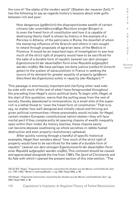the core of "the *states of the modern world*" (Staaten der neueren Zeit),152 has the following to say as regards history's lessons about wide gulfs between rich and poor:

How dangerous (*gefährlich*) the disproportionate wealth of certain citizens (*der unverhältnismäßige Reichtum einiger Bürger*) is to even the freest form of constitution and how it is capable of destroying liberty itself is shown by history in the example of a Pericles in Athens; of the patricians in Rome, the downfall of whom the menacing influence of the Gracchi and others in vain sought to retard through proposals of agrarian laws; of the Medicis in Florence. It would be an important topic of investigation to see how much of the strict right of property would have to be sacrificed for the sake of a durable form of republic (*wieviel von dem strengen Eigentumsrecht der dauerhaften Form einer Republik aufgeopfert werden müßte*). We have perhaps not done justice (*vielleicht Unrecht getan*) to the system of sansculottism in France in seeking the source of its demand for greater equality of property (*größeren Gleichheit des Eigentums*) solely in rapacity (*der Raubgier*).153

This passage is enormously important and clarifying when read sideby-side with much of the rest of what I have foregrounded throughout the preceding from Hegel's socio-political texts. To begin with, Hegel, at the start of this quotation, warns that the pulling away from the rest of society, thereby abandoned to immiseration, by a small elite of the superrich is a lethal threat to "even the freest form of constitution." That is to say, no matter how well-designed and initially robust and thriving are given political communities—these presumably would include, for Hegel, certain modern European constitutional nation-states—they will face mortal peril if they complacently let yawning chasms of wealth inequality open within their midst. As history teaches, these chasms easily can become abysses swallowing up whole societies in rabble-fueled destruction and even properly revolutionary upheaval.

After quickly running through a handful of specific historical examples, Hegel then wonders about "how much of the strict right of property would have to be sacrificed for the sake of a durable form of republic" (*wieviel von dem strengen Eigentumsrecht der dauerhaften Form einer Republik aufgeopfert werden müßte*). This comment should be viewed and appreciated alongside the line from 1798's *The Spirit of Christianity and Its Fate* with which I opened the present section of this intervention: "The

S I S & C R I T I Q U E / Volume 8 Issue 2

C R I

<sup>152 (</sup>G.W.F. Hegel, "*Fragmente historischer und politischer Studien aus der Berner und Frankfurter Zeit (ca. 1795-1798)*,"*Werke in zwanzig Bänden, 1*, pg. 439); Hegel 2002, p. 99.

<sup>153 (</sup>Hegel, "*Fragmente historischer und politischer Studien aus der Berner und Frankfurter Zeit*," pg. 439); Hegel 2002, p. 99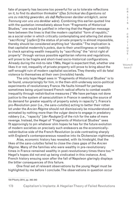fate of property has become too powerful for us to tolerate reflections on it, to find its abolition thinkable" (*Das Schicksal des Eigentums ist uns zu mächtig geworden, als daß Reflexionen darüber erträglich, seine Trennung von uns uns denkbar wäre*). Combining this earlier-quoted line with the quotation immediately above from "Fragments of Historical Studies," one would be justified in inferring that the Hegelian message here between the lines is that the modern capitalist "form of republic," as a social order in which critically contemplating and altering (let alone "sacrificing" [*opfern*]) the status of private property is almost impossible, thereby should be considered anything but "durable." The implication is that capitalist modernity's *poleis*, due to their unwillingness or inability to check spiraling wealth inequality by "sacrificing" the "strict right of property" through various possible egalitarian reforms and regulations, will prove to be fragile and short-lived socio-historical configurations. Already during the mid-to-late 1790s, Hegel is expectant that, whether one likes it or not, inequality of private property will prove to bring about the self-wrought ruin of modern capitalist societies. They thereby will do fatal violence to themselves at their own (invisible) hands.

The only hope Hegel sees in "Fragments of Historical Studies" is to be found, unsurprisingly for him, in the then-still-underway socio-political experiments of revolutionary France. He faults himself for perhaps sometimes being unjust toward French radical efforts to combat wealth inequality through redistributive measures ("We have perhaps not done justice to the system of sansculottism in France in seeking the source of its demand for greater equality of property solely in rapacity"). France's pro-Revolution poor (i.e., the *sans-culottes*) acting to better their rotten lot under the *Ancien Régime* should not dismissively be misunderstood as animated by nothing more than the vulgar desire to engage in predatory robbery (i.e., "rapacity" [*der Raubgier*]) of the rich for the sake of mere revenge. Instead, the Hegel of "Fragments of Historical Studies" sees fit approvingly to pin whatever slim hopes he has for the future evolution of modern societies on precisely such endeavors as the economicallyredistributive side of the French Revolution (a side contrasting sharply with England's contemporaneous nosedive into its Dickensian nightmare).

Alas, economic history has revealed, with its hindsight, that the likes of the *sans-culottes* failed to close the class gaps of the *Ancien Régime*. Many of the families who were wealthy in pre-revolutionary times in France remained wealthy in post-revolutionary times there too.<sup>154</sup> Hegel's hopes did not end up being vindicated in this instance. And, French history ensuing soon after the fall of Napoleon glaringly displays the bitter consequences of this failure.

One final set of relevant observations by the young Hegel must be highlighted by me before I conclude. The observations in question occur

154 Piketty 2014, pp. 342-343

& C R I T I Q U E / Volume 8

Issue 2

C R I S I S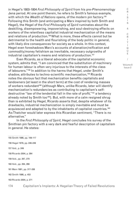in Hegel's 1803-1804 *First Philosophy of Spirit* from his pre-*Phenomenology* Jena period. At one point therein, he refers to Smith's famous example, with which the *Wealth of Nations* opens, of the modern pin factory.155 Following this Smith (and anticipating a Marx inspired by both Smith and Hegel), the Hegel of the *First Philosophy of Spirit* ruminates about the deskilling, disempowering, impoverishing, and soul-destroying effects on workers of the relentless capitalist industrial mechanization of the means and relations of production.<sup>156</sup> What is more, these effects cannot but be detrimental to the health and flourishing of the body politic in general, with likely dire consequences for society as a whole. In this context, Hegel even foreshadows Marx's accounts of alienation/reification and commodity/money fetishism as inevitable, necessary outgrowths of industrial capitalism's means and relations of production.<sup>157</sup>

Even Ricardo, as a liberal advocate of the capitalist economic system, admits that, "I am convinced that the substitution of machinery for human labour is often very injurious to the interests of the class of labourers."158 In addition to the harms that Hegel, under Smith's shadow, attributes to techno-scientific mechanization,<sup>159</sup> Ricardo notes the obvious fact that mechanization benefits capitalists and landowners (at least in the short term) at the cost of rendering masses of workers redundant<sup>160</sup> (although Marx, unlike Ricardo, later will identify mechanization's redundancies as contributing to capitalism's selfdestructive "law of the tendential fall in the rate of profit,"161 a tendency already noted by Smith too<sup>162</sup>). But, with more of a calm resigned shrug than is exhibited by Hegel, Ricardo asserts that, despite whatever of its drawbacks, industrial mechanization is simply inevitable and must be acquiesced and adapted to by the inhabitants of capitalist countries.<sup>163</sup> As Thatcher would later express this Ricardian sentiment, "There is no alternative."

In the *First Philosophy of Spirit*, Hegel concludes his survey of the Smithian pin factory with a very dark and fearful description of capitalism in general. He states:

155 Smith 1986, pp. 109-117 156 Hegel 1979, pp. 246-249 157 Ibid., p. 249 158 Ricardo 2004, p. 264 159 Ibid., pp. 267, 270 160 Ibid., pp. 264, 266 161 Marx 1981, pp. 317-338 162 Smith 1986, p. 453 163 Ricardo 2004, p. 271

T I  $\Omega$  $\cup$ E / Volume 8

C R  $\mathbf{I}$ S I S & C R I

Issue 2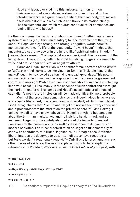Need and labor, elevated into this universality, then form on their own account a monstrous system of community and mutual interdependence in a great people; a life of the dead body, that moves itself within itself, one which ebbs and flows in its motion blindly, like the elements, and which requires continual strict dominance and taming like a wild beast.<sup>164</sup>

He then compares the "activity of laboring and need" within capitalism's system of needs (i.e., "this universality") to "the movement of the living dead."165 Hegel employs strong, and strongly negative, words here: "a monstrous system," "a life of the dead body," "a wild beast" (indeed, the uncontested supreme power in the jungle-like "spiritual animal kingdom" [*das geistige Tierreich*]166 of capitalist economies), and "the movement of the living dead." These words, calling to mind horrifying imagery, are meant to voice and arouse fear and similar negative affects.

Moreover, Hegel, most likely with another famous stretch of the *Wealth of Nations* in mind, looks to be implying that Smith's "invisible hand of the market" ought to be viewed as a terrifying undead appendage. This potent and unpredictable organ must be responded to with aggressive government control and oversight ("which requires continual strict dominance and taming like a wild beast"). Presumably, in the absence of such control and oversight, the market-monster will run amok and Hegel's pessimistic predictions of capitalism's near-future implosion will be made significantly more probable.

Much of the preceding demonstrates that Hegel indeed is no relaxed *laissez-faire* liberal. Yet, in a recent comparative study of Smith and Hegel, Lisa Herzog claims that, "Smith and Hegel did not yet seem very concerned about pressures from the market on the private sphere."167 *Pace* Herzog, I believe myself to have shown above that Hegel is anything but sanguine about the Smithian marketplace and its invisible hand. In fact, and as just seen, Hegel is quite acutely alarmed about the impacts of market pressures on the non-economic as well as the economic dimensions of modern societies. The mischaracterization of Hegel as fundamentally at ease with capitalism, this Right Hegelian or, in Herzog's case, Smithianliberal impression, deserves to be written off as, to have recourse to Lukács's words, "a reactionary legend."<sup>168</sup> Only if one ignores, among many other pieces of evidence, the very first place in which Hegel explicitly references the *Wealth of Nations* (i.e., in the *First Philosophy of Spirit*, with

164 Hegel 1979, p. 249 165 Ibid., p. 249 166 Hegel 1970b, pp. 294-311; Hegel 1977b, pp. 237-252 167 Herzog 2013, p. 82 168 Lukács 1976, pp. 3-17

C R I S I S & C R I T  $\mathbf{I}$ Q U E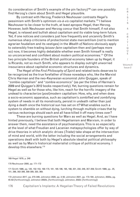its consideration of Smith's example of the pin factory)<sup>169</sup> can one possibly find Herzog's claim about Smith and Hegel plausible.

By contrast with Herzog, Frederick Neuhouser contrasts Hegel's pessimism with Smith's optimism *vis-à-vis* capitalist markets.170 I believe Neuhouser to be closer to the truth, at least apropos Hegel, than Herzog. However, both Neuhouser and Herzog concur that Smith himself, if not also Hegel, is relaxed and bullish about capitalism and its viable long-term future. Yet, if one notices and considers just how frequently and uncannily Smith's numerous sharp criticisms of protectionist state mercantilism (not to mention agrarian feudalism and its vestiges) in the *Wealth of Nations* obviously apply to ostensibly free-trading *laissez-faire* capitalism then and (perhaps more so) now, it becomes highly debatable whether even Smith himself is really so unconcerned and confident about modern political economies.<sup>171</sup> Of the two principle founders of the British political economy taken up by Hegel, it is Ricardo, not so much Smith, who appears to display outright unworried insouciance about capitalist economic structures and dynamics.

The Hegel of the *First Philosophy of Spirit* and related texts deserves to be recognized as the true forefather of those nowadays who, like the Marxist Chris Harman and the neo-Keynesian economist John Quiggan, speak of "zombie capitalism" and "zombie economics" (as per the titles of Harman's 2009 and Quiggan's 2012 books respectively). Yet, burning questions remain for Hegel as well as for those who, like him, reach for the horrific imagery of the undead to characterize (post)modern capitalism: How, why, and when does a socio-economic apparatus, such as capitalism's zombified and zombifying system of needs in all its monstrosity, persist in undeath rather than just dying a death once the historical sun has set on it? What enables such a system to shamble on without dying, lurching through multiple crises that by various reckonings should each and all have killed it off many times over?

These are burning questions for Marx as well as Hegel. And, as I have hinted previously, I believe that both Hegelianism and Marxism, in order to answer them, need the assistance of psychoanalysis. This is so especially at the level of what Freudian and Lacanian metapsychologies offer by way of drive theories in which analytic drives (*Triebe*) take shape at the intersection of mind and world, with the latter including the social arrangements and operations dealt with both by Hegel's absolute idealist political philosophy as well as by Marx's historical materialist critique of political economy. I develop this elsewhere.<sup>172</sup>

E / Volume 8

Issue 2

C R I S I S & C R I T  $\mathbf{I}$ Q U

<sup>169</sup> Hegel 1979, p. 248

<sup>170</sup> Neuhouser 2000, pp. 171-172

<sup>171</sup> Smith 1986, pp. 120, 152-153, 168-170, 181, 185-186, 195, 198, 201, 232, 246, 357-359; Smith 1999, pp.. 25, 151, 298, 302-306, 308-309, 320, 369.

<sup>172</sup> Johnston 2017, pp. 270-346; Johnston 2020, pp. 3-50; Johnston 2021, pp. 173-184; Johnston, 2022a, pg. 45-63 [forthcoming]); Johnston 2002b, [forthcoming]); Johnston, 2022c [forthcoming])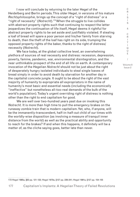I now will conclude by returning to the later Hegel of the Heidelberg and Berlin periods. This older Hegel, in versions of his mature *Rechtsphilosophie*, brings up the concept of a "right of distress" or a "right of necessity" (*Notrecht*).173 When the struggle to live collides with abstract property rights such that continuing to respect the latter jeopardizes the continuation of life itself, Hegel deems it rightful for abstract property rights to be set aside and justifiably violated. If stealing a loaf of bread will spare a poor person and his/her family from starving to death, then the theft of the loaf has right on its side, trumping the opposed property rights of the baker, thanks to the right of distress/ necessity (*Notrecht*).

We face today, at the global collective level, an overwhelming plethora of sources of real necessity and distress: recession, depression, poverty, famine, pandemic, war, environmental disintegration, and the near unthinkable prospect of the end of all life on earth. A contemporary invocation of the Hegelian *Notrecht* should not be just about the right of desperately hungry isolated individuals to steal single loaves of bread simply in order to avoid death by starvation for another day in the capitalist concrete jungle. It ought to be about the right of the vast majority of humanity to expropriate all expropriators in the name of humanity's most basic and essential needs (including the economically "ineffective" but nonetheless all-too-real demands of the bulk of the world's population). Today's urgent overriding right of distress is nothing other than the right to end capitalism for good.

We are well over two-hundred vears past due on invoking this *Notrecht*. It is more than high time to pull the emergency brakes on the runaway zombie train that is modern capitalism. Yet, who, if anyone, will be the immanently-transcendent, half-in-half-out child of our times with the worldly-wise disposition (as involving a measure of tranquil inner distance from the world) as well as the practical ability and opportunity to reach for the brakes? If and when this happens, it definitely will be a matter of, as the cliche saying goes, better late than never.

Q U E / Volume 8

C R  $\mathbf{I}$ S I S & C R I T  $\mathbf{I}$ 

Issue 2

<sup>173</sup> Hegel 1995a, §63 pp. 121-122; Hegel 1970a, §127 pp. 239-241; Hegel 1991a, §127 pp. 154-155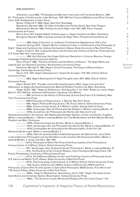#### BIBLIOGRAPHY

| <b>BIBLIOGRAPHY</b>                                                                                                                                                                                                                                                                                                                                                                                                                   | С                                |
|---------------------------------------------------------------------------------------------------------------------------------------------------------------------------------------------------------------------------------------------------------------------------------------------------------------------------------------------------------------------------------------------------------------------------------------|----------------------------------|
| Althusser, Louis 2006, "Philosophy and Marxism: Interviews with Fernanda Navarro, 1984-<br>87," Philosophy of the Encounter: Later Writings, 1978-1987 [ed. François Matheron and Oliver Corpet;<br>trans. G.M. Goshgarian], London: Verso<br>Beiser, Frederick C. 2005, Hegel, New York: Routledge<br>Mandeville, Bernard 1989, The Fable of the Bees [ed. Phillip Harth], New York: Penguin                                         | R<br>$\mathbf{I}$<br>S<br>S      |
| Bienenstock, Myriam 1992, Politique du jeune Hegel: Iéna 1801-1806, Paris: Presses                                                                                                                                                                                                                                                                                                                                                    | &                                |
| Universitaires de France                                                                                                                                                                                                                                                                                                                                                                                                              |                                  |
| Bloch, Ernst 1977 Subjekt-Objekt: Erläuterungen zu Hegel, Frankfurt am Main: Suhrkamp<br>Bourgeois, Bernard 1969, La pensée politique de Hegel, Paris: Presses Universitaires de                                                                                                                                                                                                                                                      | $\mathsf{C}$<br>R                |
| France                                                                                                                                                                                                                                                                                                                                                                                                                                | $\mathbf{L}$                     |
| ----------- 2000, Hegel à Francfort, ou Judaïsme-Christianisme-Hegelianisme, Paris: Vrin<br>Cesarale, Giorgio 2015, "Hegel's Notion of Abstract Labor in the Elements of the Philosophy of<br>Right," Hegel and Capitalism [ed. Andrew Buchwalter], Albany: State University of New York Press<br>Engels, Friedrich 1941, Ludwig Feuerbach and the Outcome of Classical German Philosophy [ed.<br>C.P. Dutt], New York: International | T<br>$\mathbf{L}$<br>Q<br>U<br>Ε |
| ----------- 1959, Anti-Dühring: Herr Eugen Dühring's Revolution in Science, Moscow: Foreign                                                                                                                                                                                                                                                                                                                                           |                                  |
| Languages Publishing House [second edition]<br>Grier, Philip T. 1996, "The End of History and the Return of History," The Hegel Myths and                                                                                                                                                                                                                                                                                             |                                  |
| Legends [ed. Jon Stewart], Evanston: Northwestern University Press<br>Hardimon, Michael O. 1994, Hegel's Social Philosophy: The Project of Reconciliation,                                                                                                                                                                                                                                                                            | Volume 8<br>Issue 2              |
| Cambridge: Cambridge University Press<br>Harris, H.S. 1972, Hegel's Development I: Toward the Sunlight, 1770-1801, Oxford: Oxford                                                                                                                                                                                                                                                                                                     |                                  |
| <b>University Press</b>                                                                                                                                                                                                                                                                                                                                                                                                               |                                  |
| -----------1983, Hegel's Development II: Night Thoughts (Jena 1801-1806), Oxford: Oxford                                                                                                                                                                                                                                                                                                                                              |                                  |
| University Press,                                                                                                                                                                                                                                                                                                                                                                                                                     |                                  |
| Haym, Rudolf 1975, "Preußen und die Rechtsphilosophie (1857): Hegel und seine Zeit,"<br>Materialien zu Hegels Rechtsphilosophie [ed. Manfred Riedel], Frankfurt am Main: Suhrkamp<br>Hegel, G.W.F. 1953, "Hegel an Niethammer: Nürnberg den 5. Juli 1816," Briefe von und an Hegel,                                                                                                                                                   |                                  |
| Band II: 1813-1822 [ed. Johannes Hoffmeister], Hamburg: Felix Meiner<br>-----------1995, Lectures on the History of Philosophy, Volume One [trans. E.S. Haldane], New                                                                                                                                                                                                                                                                 |                                  |
| <b>York: The Humanities Press</b>                                                                                                                                                                                                                                                                                                                                                                                                     |                                  |
| -----------1956 Philosophy of History [trans. J. Sibree], New York: Dover                                                                                                                                                                                                                                                                                                                                                             |                                  |
| -----------1964, Hegel's Political Writings [trans. T.M. Knox], Oxford: Oxford University Press                                                                                                                                                                                                                                                                                                                                       |                                  |
| -----------1969a, Science of Logic [trans. A.V. Miller], London: George Allen & Unwin<br>-----------1969b, Vorlesungen über die Philosophie der Religion I, Werke in zwanzig Bänden, 16                                                                                                                                                                                                                                               |                                  |
| ----------- 1970a, Grundlinien der Philosophie des Rechts oder Naturrecht und                                                                                                                                                                                                                                                                                                                                                         |                                  |
| Staatswissenschaft im Grundrisse: Mit Hegels eigenhändigen Notizen und den mündlichen Zusätzen,<br>Werke in zwanzig Bänden, 7, Werke in zwanzig Bänden [ed. Eva Moldenhauer and Karl Markus Michel],                                                                                                                                                                                                                                  |                                  |
| Frankfurt am Main: Suhrkamp                                                                                                                                                                                                                                                                                                                                                                                                           |                                  |
| ----------- 1970b, Phänomenologie des Geistes, Werke in zwanzig Bänden, 3                                                                                                                                                                                                                                                                                                                                                             |                                  |
| ----------- 1970c, Vorlesungen über die Philosophie der Geschichte, Werke in zwanzig Bänden, 12<br>----------- 1970d, Enzyklopädie der philosophischen Wissenschaften, Erster Teil: Die                                                                                                                                                                                                                                               |                                  |
| Wissenschaft der Logik, Werke in zwanzig Bänden, 8<br>----------- 1970e, Über die wissenschaftliche Behandlungsarten des Naturrechts, seine Stelle                                                                                                                                                                                                                                                                                    |                                  |
| in der praktischen Philosophie und sein Verhältnis zu den positiven Rechtswissenschaften, Werke in                                                                                                                                                                                                                                                                                                                                    |                                  |
| zwanzig Bänden, 2: Jenaer Schriften, 1801-1807                                                                                                                                                                                                                                                                                                                                                                                        |                                  |
| -----------1971a, Philosophy of Mind: Part Three of the Encyclopedia of the Philosophical                                                                                                                                                                                                                                                                                                                                             |                                  |
| Sciences [trans. A.V. Miller], Oxford: Oxford University Press<br>-----------1971, Vorlesungen über die Geschichte der Philosophie I, Werke in zwanzig Bänden, 18                                                                                                                                                                                                                                                                     |                                  |
| -----------1975, The Positivity of the Christian Religion, Early Theological Writings [trans. T.M.<br>Knox], Philadelphia: University of Pennsylvania Press                                                                                                                                                                                                                                                                           |                                  |
| -----------1977a, The Difference Between Fichte's and Schelling's System of Philosophy [trans.<br>H.S. Harris and Walter Cerf], Albany: State University of New York Press                                                                                                                                                                                                                                                            |                                  |
| -----------1977b, Phenomenology of Spirit [trans. A.V. Miller], Oxford: Oxford University Press<br>----------- 1979, System of Ethical Life (1802/3), System of Ethical Life (1802/3) and First                                                                                                                                                                                                                                       |                                  |
| Philosophy of Spirit (Part III of the System of Speculative Philosophy 1803/4) [trans. H.S. Harris and                                                                                                                                                                                                                                                                                                                                |                                  |
| T.M. Knox], Albany: State University of New York Press<br>----------- 1984a, "Hegel to Niethammer: Nuremberg, July 5, 1816," Hegel: The Letters [trans.                                                                                                                                                                                                                                                                               |                                  |
| Clark Butler and Christiane Seiler], Bloomington: Indiana University Press                                                                                                                                                                                                                                                                                                                                                            |                                  |
| ----------- 1984b, "The Science of Laws, Morals and Religion [For the Lower Class]," The                                                                                                                                                                                                                                                                                                                                              |                                  |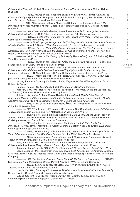| Philosophical Propaedeutic [ed. Michael George and Andrew Vincent; trans. A.V. Miller], Oxford:<br>Blackwell,                                                                          | С<br>$\mathsf R$ |
|----------------------------------------------------------------------------------------------------------------------------------------------------------------------------------------|------------------|
| ----------- 1984c, Lectures on the Philosophy of Religion, Volume One: Introduction and The                                                                                            | $\mathbf{I}$     |
| Concept of Religion [ed. Peter C. Hodgson; trans. R.F. Brown, P.C. Hodgson, J.M. Stewart, J.P. Fitzer,                                                                                 | $\mathbb S$      |
| and H.S. Harris], Berkeley: University of California Press                                                                                                                             | $\mathbf{I}$     |
| -----------1986, "The Science of Laws, Morals and Religion [For the Lower Class]," The                                                                                                 | $\mathbb S$      |
| Philosophical Propaedeutic [ed. Michael George and Andrew Vincent; trans. A.V. Miller], Oxford:                                                                                        |                  |
| Blackwell                                                                                                                                                                              | &                |
| ----------- 1987, Philosophie des Geistes, Jenaer Systementwüfre III: Naturphilosophie und                                                                                             |                  |
| Philosophie des Geistes [ed. Rolf-Peter Horstmann], Hamburg: Felix Meiner Verlag                                                                                                       | $\mathsf C$      |
| ----------- 1991a, <i>Elements of the Philosophy of Right</i> [ed. Allen W. Wood; trans. H.B. Nisbet],                                                                                 | R                |
| Cambridge: Cambridge University Press                                                                                                                                                  | $\mathbf{I}$     |
| -----------1991b, The Encyclopedia Logic: Part I of the Encyclopedia of the Philosophical Sciences                                                                                     | $\top$           |
| with the Zusätze [trans. T.F. Geraets, W.A. Suchting, and H.S. Harris], Indianapolis: Hackett                                                                                          | $\mathbf{I}$     |
| ----------- 1995a, Lectures on Natural Right and Political Science: The First Philosophy of Right,                                                                                     | Q<br>U           |
| Heidelberg 1817-1818, with Additions from the Lectures of 1818-1819 [trans. J. Michael Stewart and<br>Peter C. Hodgson], Berkeley: University of California Press                      | Ε                |
| ----------- 1995b, Lectures on the History of Philosophy, Volume One [trans. E.S. Haldane], New                                                                                        |                  |
| York: The Humanities Press                                                                                                                                                             |                  |
| ----------- 1995c, Lectures on the History of Philosophy, Volume Two [trans. E.S. Haldane and                                                                                          |                  |
| Frances H. Simson], New York: The Humanities Press                                                                                                                                     | Volume 8         |
| ----------- 1999, On the Scientific Ways of Treating Natural Law, on its Place in Practical                                                                                            | Issue 2          |
| Philosophy, and its Relation to the Positive Sciences of Right (1802-1803), Political Writings [ed.                                                                                    |                  |
| Laurence Dickey and H.B. Nisbet; trans. H.B. Nisbet], Cambridge: Cambridge University Press                                                                                            |                  |
| ----------- 2002,, "Fragments of Historical Studies," Miscellaneous Writings of G.W.F. Hegel                                                                                           |                  |
| [ed. Jon Stewart], Evanston: Northwestern University Press                                                                                                                             |                  |
| Herzog, Lisa 2013, Inventing the Market: Smith, Hegel, and Political Theory, Oxford: Oxford                                                                                            |                  |
| <b>University Press</b>                                                                                                                                                                |                  |
| Hobbes, Thomas 1985, Leviathan [ed. C.B. Macpherson], New York: Penguin                                                                                                                |                  |
| Jackson, M.W. 1996, "Hegel: The Real and the Rational," The Hegel Myths and Legends [ed.                                                                                               |                  |
| Jon Stewart], Evanston: Northwestern University Press                                                                                                                                  |                  |
| Johnston, Adrian 2017, "From Closed Need to Infinite Greed: Marx's Drive Theory,"<br>Continental Thought and Theory: A Journal of Intellectual Freedom, special issue: "Reading Marx's |                  |
| Capital 150 Years On" [ed. Mike Grimshaw and Cindy Zeiher], vol. 1, no. 4, October                                                                                                     |                  |
| ----------- 2018, A New German Idealism: Hegel, Žižek, and Dialectical Materialism, New York:                                                                                          |                  |
| <b>Columbia University Press</b>                                                                                                                                                       |                  |
| ----------- 2020, "The Triumph of Theological Economics: God Goes Underground," Philosophy                                                                                             |                  |
| Today, special issue: "Marxism and New Materialisms," vol. 64, no. 1, Winter                                                                                                           |                  |
| ----------- 2021, 'I am nothing, but I make everything': Marx, Lacan, and the Labor Theory of                                                                                          |                  |
| Suture," Parallax: The Dependence of Reality on Its Subjective Constitution [ed. Dominik Finkelde,                                                                                     |                  |
| Christoph Menke, and Slavoj Žižek], London: Bloomsbury                                                                                                                                 |                  |
| ----------- 2022a, Shades of Green: Lacan and Capitalism's Veils," Objective Fictions:                                                                                                 |                  |
| Philosophy, Psychoanalysis, Marxism [ed. Adrian Johnston, Boštjan Nedoh, and Alenka Zupančič],                                                                                         |                  |
| Edinburgh: Edinburgh University Press                                                                                                                                                  |                  |
| ----------- 2022b, "The Plumbing of Political Economy: Marxism and Psychoanalysis Down the<br>Toilet," Psychoanalysis and the Mind-Body Problem [ed. Jon Mills], New York: Routledge   |                  |
| ----------- 2022c, Communism and Ambivalence: Freud, Marxism, and Aggression," Critical                                                                                                |                  |
| Theory and Psychoanalysis [ed. Jon Mills], New York: Routledge                                                                                                                         |                  |
| Kant, Immanuel 1996, "An answer to the question: What is Enlightenment?" Practical                                                                                                     |                  |
| Philosophy [ed. and trans. Mary J. Gregor], Cambridge: Cambridge University Press                                                                                                      |                  |
| Kervégan, Jean-François 2007, L'effectif et le rationnel: Hegel et l'esprit objectif, Paris: Vrin                                                                                      |                  |
| Lacan, Jacques 1977, The Seminar of Jacques Lacan, Book XI: The Four Fundamental Concepts                                                                                              |                  |
| of Psychoanalysis, 1964 [ed. Jacques-Alain Miller; trans. Alan Sheridan], New York: W.W. Norton and                                                                                    |                  |
| Company                                                                                                                                                                                |                  |
| ----------- 1992, The Seminar of Jacques Lacan, Book VII: The Ethics of Psychoanalysis, 1959-1960                                                                                      |                  |
| [ed. Jacques-Alain Miller; trans. Dennis Porter], New York: W.W. Norton and Company                                                                                                    |                  |
| ----------- 2006, Le Séminaire de Jacques Lacan, Livre XVI: D'un Autre à l'autre, 1968-1969 [ed.                                                                                       |                  |
| Jacques-Alain Miller], Paris: Éditions du Seuil                                                                                                                                        |                  |
| Löwith, Karl 1991, From Hegel to Nietzsche: The Revolution in Nineteenth-Century Philosophy<br>[trans. David E. Green], New York: Columbia University Press                            |                  |
| Lukács, Georg 1976, The Young Hegel: Studies in the Relations between Dialectics and                                                                                                   |                  |
| Economics [trans. Rodney Livingstone], Cambridge: MIT Press                                                                                                                            |                  |
|                                                                                                                                                                                        |                  |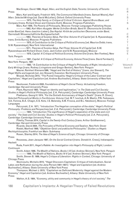| MacGregor, David 1996, <i>Hegel, Marx, and the English State</i> , Toronto: University of Toronto                                                                                                                                                                                                       | $\mathsf C$<br>R                    |
|---------------------------------------------------------------------------------------------------------------------------------------------------------------------------------------------------------------------------------------------------------------------------------------------------------|-------------------------------------|
| Press<br>Marx, Karl and Engels, Friedrich 1972, The Communist Manifesto [trans. Samuel Moore], Karl<br>Marx: Selected Writings [ed. David McLellan], Oxford: Oxford University Press<br>----------- 1975, The Holy Family, or Critique of Critical Criticism: Against Bruno Bauer, and                  | $\overline{1}$<br>$\mathbb S$<br>÷. |
| Company [trans. Richard Dixon and Clemens Dutt], Moscow: Progress Publishers<br>Marx, Karl 1956, The Poverty of Philosophy, Moscow: Foreign Languages Publishing House<br>-----------1962, Karl-Marx-Ausgabe: Werke-Schriften-Briefe, Band IV: Ökonomische Schriften,                                   | S<br>&                              |
| erster Band [ed. Hans-Joachim Lieber], Das Kapital: Kritik der politischen Ökonomie, erster Band,<br>Darmstadt: Wissenschaftliche Buchgesellschaft                                                                                                                                                      | C                                   |
| -----------1963, Theories of Surplus-Value, Part One: Volume IV of Capital [ed. S. Ryazanskaya;<br>trans. Emile Burns], Moscow: Progress Publishers<br>----------- 1970, A Contribution to the Critique of Political Economy [ed. Maurice Dobb; trans.                                                  | R<br>$\mathbf{I}$<br>Τ              |
| S.W. Ryazanskaya], New York: International<br>-----------1971, Theories of Surplus-Value, Part Three: Volume IV of Capital [ed. S.W.                                                                                                                                                                    | $\mathbf{I}$<br>Q                   |
| Ryazanskaya and Richard Dixon; trans. Jack Cohen and S.W. Ryazanskaya], Moscow<br>----------- 1976, Capital: A Critique of Political Economy, Volume One [trans. Ben Fowkes], New                                                                                                                       | U<br>Е                              |
| York: Penguin<br>----------- 1981, Capital: A Critique of Political Economy, Volume Three [trans. David Fernbach],                                                                                                                                                                                      |                                     |
| New York: Penguin, 1981<br>----------- 1992, "A Contribution to the Critique of Hegel's Philosophy of Right. Introduction,"                                                                                                                                                                             | Volume 8                            |
| Early Writings [trans. Rodney Livingstone and Gregor Benton], New York: Penguin<br>Maurer, Reinhart Klemens1996, "Hegel and the End of History" [trans. Jon Stewart], The                                                                                                                               | Issue 2                             |
| Hegel Myths and Legends [ed. Jon Stewart], Evanston: Northwestern University Press<br>Mowad, Nicholas 2015, "The Purest Inequality: Hegel's Critique of the Labor Contract and                                                                                                                          |                                     |
| Capitalism," Hegel and Capitalism [ed. Andrew Buchwalter], Albany: State University of New York<br>Press                                                                                                                                                                                                |                                     |
| Neuhouser, Frederick 2000, Foundations of Hegel's Social Theory: Actualizing Freedom,<br><b>Cambridge: Harvard University Press</b><br>Plant, Raymond 1983, "Hegel on identity and legitimation," in The State and Civil Society:                                                                       |                                     |
| Studies in Hegel's Political Philosophy [ed. Z.A. Pelczynski], Cambridge: Cambridge University Press<br>Plekhanov, Georgi V. 1974, "For the Sixtieth Anniversary of Hegel's Death" [trans. R. Dixon],                                                                                                   |                                     |
| Selected Philosophical Works in Five Volumes: Volume I [ed. M.T. Ivochuk, A.N. Maslin, P.N. Fedoseyev,<br>V.A. Fomina, B.A. Chagin, E.S. Kots, I.S. Belensky, S.M. Firsova, and B.L. Yakobson], Moscow: Foreign<br>Languages                                                                            |                                     |
| Pelczynski, Z.A. 1971, "Introduction: The Hegelian conception of the state," Hegel's Political<br>Philosophy: Problems and Perspectives [ed. Z.A. Pelczynski], Cambridge: Cambridge University Press                                                                                                    |                                     |
| ----------- 1984, "Introduction: The significance of Hegel's separation of the state and civil<br>society," The State and Civil Society: Studies in Hegel's Political Philosophy [ed. Z.A. Pelczynski],                                                                                                 |                                     |
| Cambridge: Cambridge University Press<br>Piketty, Thomas 2014, Capital in the Twenty-First Century [trans. Arthur Goldhammer],                                                                                                                                                                          |                                     |
| <b>Cambridge: Harvard University Press</b><br>Ricardo, David 2004, The Principles of Political Economy and Taxation, New York: Dover                                                                                                                                                                    |                                     |
| Riedel, Manfred 1969, "Objektiver Geist und praktische Philosophie," Studien zu Hegels<br>Rechtsphilosophie, Frankfurt am Main: Suhrkamp                                                                                                                                                                |                                     |
| Rosen, Stanley 2014, The Idea of Hegel's Science of Logic, Chicago: University of Chicago<br>Press                                                                                                                                                                                                      |                                     |
| Rousseau, Jean-Jacques 1987, On the Social Contract [trans. Donald A. Cress], Indianapolis:<br>Hackett                                                                                                                                                                                                  |                                     |
| Ruda, Frank 2011, Hegel's Rabble: An Investigation into Hegel's Philosophy of Right, London:<br>Continuum                                                                                                                                                                                               |                                     |
| Smith, Adam 1986, The Wealth of Nations, Books I-III [ed. Andrew Skinner], New York: Penguin<br>----------- 1999, The Wealth of Nations, Books IV-V [ed. Andrew Skinner], New York: Penguin<br>Smith, Steven B. 1989, <i>Hegel's Critique of Liberalism: Rights in Context</i> , Chicago: University of |                                     |
| Chicago Press<br>Skomvoulis, Michalis 2015, "Hegel Discovers Capitalism: Critique of Individualism, Social                                                                                                                                                                                              |                                     |
| Labor, and Reification during the Jena Period (1801-1807)," Hegel and Capitalism [ed. Andrew<br>Buchwalter], Albany: State University of New York Press                                                                                                                                                 |                                     |
| Thompson, Michael J. 2015, "Capitalism as Deficient Modernity: Hegel against the Modern<br>Economy," Hegel and Capitalism [ed. Andrew Buchwalter], Albany: State University of New York                                                                                                                 |                                     |
| Press                                                                                                                                                                                                                                                                                                   |                                     |

Walton, A.S. 1984, "Economy, utility and community in Hegel's theory of civil society," *The*